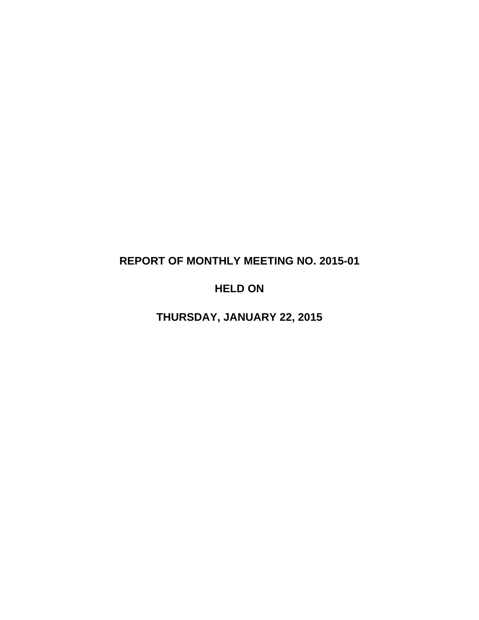# **REPORT OF MONTHLY MEETING NO. 2015-01**

# **HELD ON**

**THURSDAY, JANUARY 22, 2015**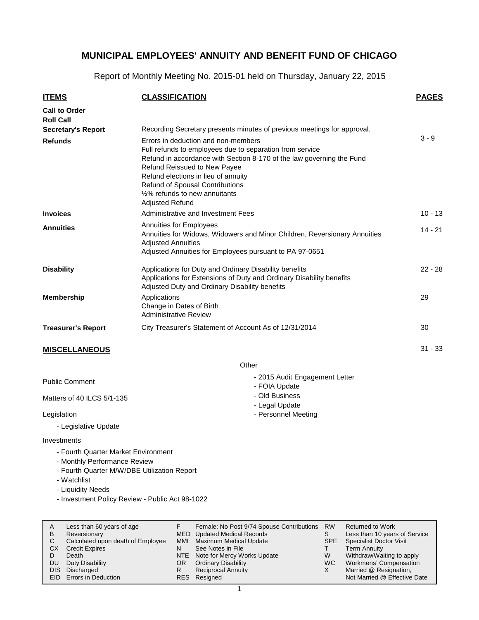Report of Monthly Meeting No. 2015-01 held on Thursday, January 22, 2015

| <b>ITEMS</b>                             | <b>CLASSIFICATION</b>                                                                                                                                                                                                                                                                                                                                 | <b>PAGES</b> |
|------------------------------------------|-------------------------------------------------------------------------------------------------------------------------------------------------------------------------------------------------------------------------------------------------------------------------------------------------------------------------------------------------------|--------------|
| <b>Call to Order</b><br><b>Roll Call</b> |                                                                                                                                                                                                                                                                                                                                                       |              |
| <b>Secretary's Report</b>                | Recording Secretary presents minutes of previous meetings for approval.                                                                                                                                                                                                                                                                               |              |
| <b>Refunds</b>                           | Errors in deduction and non-members<br>Full refunds to employees due to separation from service<br>Refund in accordance with Section 8-170 of the law governing the Fund<br><b>Refund Reissued to New Payee</b><br>Refund elections in lieu of annuity<br>Refund of Spousal Contributions<br>1/2% refunds to new annuitants<br><b>Adjusted Refund</b> | $3 - 9$      |
| <b>Invoices</b>                          | Administrative and Investment Fees                                                                                                                                                                                                                                                                                                                    | $10 - 13$    |
| <b>Annuities</b>                         | <b>Annuities for Employees</b><br>Annuities for Widows, Widowers and Minor Children, Reversionary Annuities<br><b>Adjusted Annuities</b><br>Adjusted Annuities for Employees pursuant to PA 97-0651                                                                                                                                                   | $14 - 21$    |
| <b>Disability</b>                        | Applications for Duty and Ordinary Disability benefits<br>Applications for Extensions of Duty and Ordinary Disability benefits<br>Adjusted Duty and Ordinary Disability benefits                                                                                                                                                                      | $22 - 28$    |
| <b>Membership</b>                        | Applications<br>Change in Dates of Birth<br><b>Administrative Review</b>                                                                                                                                                                                                                                                                              | 29           |
| <b>Treasurer's Report</b>                | City Treasurer's Statement of Account As of 12/31/2014                                                                                                                                                                                                                                                                                                | 30           |
| <b>MISCELLANEOUS</b>                     |                                                                                                                                                                                                                                                                                                                                                       | $31 - 33$    |

**Other** 

| <b>Public Comment</b>      | - 2015 Audit Engagement Letter<br>- FOIA Update |  |  |
|----------------------------|-------------------------------------------------|--|--|
| Matters of 40 ILCS 5/1-135 | - Old Business<br>- Legal Update                |  |  |
| Legislation                | - Personnel Meeting                             |  |  |
| - Legislative Update       |                                                 |  |  |

### Investments

- Fourth Quarter Market Environment
- Monthly Performance Review
- Fourth Quarter M/W/DBE Utilization Report
- Watchlist
- Liquidity Needs
- Investment Policy Review Public Act 98-1022

| A<br>В<br>C<br>СX | Less than 60 years of age<br>Reversionary<br>Calculated upon death of Employee<br><b>Credit Expires</b><br>Death | MMI      | Female: No Post 9/74 Spouse Contributions<br>MED Updated Medical Records<br>Maximum Medical Update<br>See Notes in File<br>NTE Note for Mercy Works Update | <b>RW</b><br><b>SPE</b><br>W | <b>Returned to Work</b><br>Less than 10 years of Service<br><b>Specialist Doctor Visit</b><br><b>Term Annuity</b><br>Withdraw/Waiting to apply |
|-------------------|------------------------------------------------------------------------------------------------------------------|----------|------------------------------------------------------------------------------------------------------------------------------------------------------------|------------------------------|------------------------------------------------------------------------------------------------------------------------------------------------|
| DU<br>DIS.        | Duty Disability<br>Discharged<br>EID Errors in Deduction                                                         | OR.<br>R | <b>Ordinary Disability</b><br><b>Reciprocal Annuity</b><br>RES Resigned                                                                                    | WC.<br>х                     | Workmens' Compensation<br>Married @ Resignation,<br>Not Married @ Effective Date                                                               |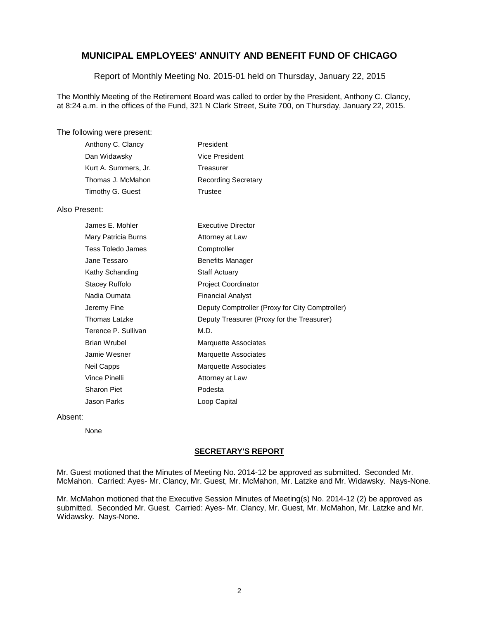Report of Monthly Meeting No. 2015-01 held on Thursday, January 22, 2015

The Monthly Meeting of the Retirement Board was called to order by the President, Anthony C. Clancy, at 8:24 a.m. in the offices of the Fund, 321 N Clark Street, Suite 700, on Thursday, January 22, 2015.

#### The following were present:

| Anthony C. Clancy    | President                  |
|----------------------|----------------------------|
| Dan Widawsky         | Vice President             |
| Kurt A. Summers, Jr. | Treasurer                  |
| Thomas J. McMahon    | <b>Recording Secretary</b> |
| Timothy G. Guest     | Trustee                    |

#### Also Present:

| James E. Mohler     | <b>Executive Director</b>                       |
|---------------------|-------------------------------------------------|
| Mary Patricia Burns | Attorney at Law                                 |
| Tess Toledo James   | Comptroller                                     |
| Jane Tessaro        | <b>Benefits Manager</b>                         |
| Kathy Schanding     | <b>Staff Actuary</b>                            |
| Stacey Ruffolo      | <b>Project Coordinator</b>                      |
| Nadia Oumata        | <b>Financial Analyst</b>                        |
| Jeremy Fine         | Deputy Comptroller (Proxy for City Comptroller) |
| Thomas Latzke       | Deputy Treasurer (Proxy for the Treasurer)      |
| Terence P. Sullivan | M.D.                                            |
| Brian Wrubel        | Marquette Associates                            |
| Jamie Wesner        | Marquette Associates                            |
| Neil Capps          | Marquette Associates                            |
| Vince Pinelli       | Attorney at Law                                 |
| Sharon Piet         | Podesta                                         |
| Jason Parks         | Loop Capital                                    |

#### Absent:

None

#### **SECRETARY'S REPORT**

Mr. Guest motioned that the Minutes of Meeting No. 2014-12 be approved as submitted. Seconded Mr. McMahon. Carried: Ayes- Mr. Clancy, Mr. Guest, Mr. McMahon, Mr. Latzke and Mr. Widawsky. Nays-None.

Mr. McMahon motioned that the Executive Session Minutes of Meeting(s) No. 2014-12 (2) be approved as submitted. Seconded Mr. Guest. Carried: Ayes- Mr. Clancy, Mr. Guest, Mr. McMahon, Mr. Latzke and Mr. Widawsky. Nays-None.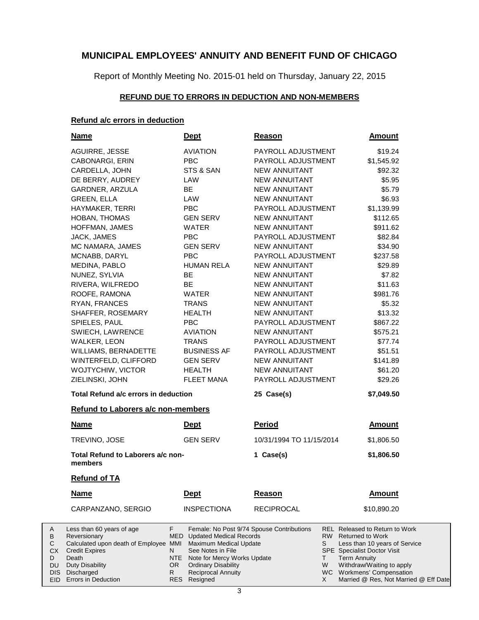Report of Monthly Meeting No. 2015-01 held on Thursday, January 22, 2015

### **REFUND DUE TO ERRORS IN DEDUCTION AND NON-MEMBERS**

### **Refund a/c errors in deduction**

A B C CX D DU DIS

|                                            | <u>Name</u>                                                                                                                                                                         |                                                         | <b>Dept</b>                                                                                                                                                                                                                      | <b>Reason</b>            |                | <b>Amount</b>                                                                                                                                                                                                                                                     |  |
|--------------------------------------------|-------------------------------------------------------------------------------------------------------------------------------------------------------------------------------------|---------------------------------------------------------|----------------------------------------------------------------------------------------------------------------------------------------------------------------------------------------------------------------------------------|--------------------------|----------------|-------------------------------------------------------------------------------------------------------------------------------------------------------------------------------------------------------------------------------------------------------------------|--|
|                                            | AGUIRRE, JESSE                                                                                                                                                                      |                                                         | <b>AVIATION</b>                                                                                                                                                                                                                  | PAYROLL ADJUSTMENT       |                | \$19.24                                                                                                                                                                                                                                                           |  |
|                                            | CABONARGI, ERIN                                                                                                                                                                     |                                                         | <b>PBC</b>                                                                                                                                                                                                                       | PAYROLL ADJUSTMENT       |                | \$1,545.92                                                                                                                                                                                                                                                        |  |
|                                            | CARDELLA, JOHN                                                                                                                                                                      |                                                         | STS & SAN                                                                                                                                                                                                                        | <b>NEW ANNUITANT</b>     |                | \$92.32                                                                                                                                                                                                                                                           |  |
|                                            | DE BERRY, AUDREY                                                                                                                                                                    |                                                         | LAW                                                                                                                                                                                                                              | <b>NEW ANNUITANT</b>     |                | \$5.95                                                                                                                                                                                                                                                            |  |
|                                            | GARDNER, ARZULA                                                                                                                                                                     |                                                         | BE                                                                                                                                                                                                                               | NEW ANNUITANT            |                | \$5.79                                                                                                                                                                                                                                                            |  |
|                                            | <b>GREEN, ELLA</b>                                                                                                                                                                  |                                                         | LAW                                                                                                                                                                                                                              | NEW ANNUITANT            |                | \$6.93                                                                                                                                                                                                                                                            |  |
|                                            | HAYMAKER, TERRI                                                                                                                                                                     |                                                         | <b>PBC</b>                                                                                                                                                                                                                       | PAYROLL ADJUSTMENT       |                | \$1,139.99                                                                                                                                                                                                                                                        |  |
|                                            | HOBAN, THOMAS                                                                                                                                                                       |                                                         | <b>GEN SERV</b>                                                                                                                                                                                                                  | <b>NEW ANNUITANT</b>     |                | \$112.65                                                                                                                                                                                                                                                          |  |
|                                            | HOFFMAN, JAMES                                                                                                                                                                      |                                                         | WATER                                                                                                                                                                                                                            | <b>NEW ANNUITANT</b>     |                | \$911.62                                                                                                                                                                                                                                                          |  |
|                                            | JACK, JAMES                                                                                                                                                                         |                                                         | <b>PBC</b>                                                                                                                                                                                                                       | PAYROLL ADJUSTMENT       |                | \$82.84                                                                                                                                                                                                                                                           |  |
|                                            | MC NAMARA, JAMES                                                                                                                                                                    |                                                         | <b>GEN SERV</b>                                                                                                                                                                                                                  | <b>NEW ANNUITANT</b>     |                | \$34.90                                                                                                                                                                                                                                                           |  |
|                                            | MCNABB, DARYL                                                                                                                                                                       |                                                         | <b>PBC</b>                                                                                                                                                                                                                       | PAYROLL ADJUSTMENT       |                | \$237.58                                                                                                                                                                                                                                                          |  |
|                                            | MEDINA, PABLO                                                                                                                                                                       |                                                         | <b>HUMAN RELA</b>                                                                                                                                                                                                                | <b>NEW ANNUITANT</b>     |                | \$29.89                                                                                                                                                                                                                                                           |  |
|                                            | NUNEZ, SYLVIA                                                                                                                                                                       |                                                         | <b>BE</b>                                                                                                                                                                                                                        | NEW ANNUITANT            |                | \$7.82                                                                                                                                                                                                                                                            |  |
|                                            | RIVERA, WILFREDO                                                                                                                                                                    |                                                         | <b>BE</b>                                                                                                                                                                                                                        | NEW ANNUITANT            |                | \$11.63                                                                                                                                                                                                                                                           |  |
|                                            | ROOFE, RAMONA                                                                                                                                                                       |                                                         | WATER                                                                                                                                                                                                                            | NEW ANNUITANT            |                | \$981.76                                                                                                                                                                                                                                                          |  |
|                                            | RYAN, FRANCES                                                                                                                                                                       |                                                         | TRANS                                                                                                                                                                                                                            | NEW ANNUITANT            |                | \$5.32                                                                                                                                                                                                                                                            |  |
|                                            | SHAFFER, ROSEMARY                                                                                                                                                                   |                                                         | HEALTH                                                                                                                                                                                                                           | NEW ANNUITANT            |                | \$13.32                                                                                                                                                                                                                                                           |  |
|                                            | SPIELES, PAUL                                                                                                                                                                       |                                                         | PBC                                                                                                                                                                                                                              | PAYROLL ADJUSTMENT       |                | \$867.22                                                                                                                                                                                                                                                          |  |
|                                            | SWIECH, LAWRENCE                                                                                                                                                                    |                                                         | <b>AVIATION</b>                                                                                                                                                                                                                  | NEW ANNUITANT            |                | \$575.21                                                                                                                                                                                                                                                          |  |
|                                            | <b>WALKER, LEON</b>                                                                                                                                                                 |                                                         | <b>TRANS</b>                                                                                                                                                                                                                     | PAYROLL ADJUSTMENT       |                | \$77.74                                                                                                                                                                                                                                                           |  |
|                                            | WILLIAMS, BERNADETTE                                                                                                                                                                |                                                         | <b>BUSINESS AF</b>                                                                                                                                                                                                               | PAYROLL ADJUSTMENT       |                | \$51.51                                                                                                                                                                                                                                                           |  |
|                                            | WINTERFELD, CLIFFORD                                                                                                                                                                |                                                         | <b>GEN SERV</b>                                                                                                                                                                                                                  | NEW ANNUITANT            |                | \$141.89                                                                                                                                                                                                                                                          |  |
|                                            | WOJTYCHIW, VICTOR                                                                                                                                                                   |                                                         | <b>HEALTH</b>                                                                                                                                                                                                                    | <b>NEW ANNUITANT</b>     |                | \$61.20                                                                                                                                                                                                                                                           |  |
|                                            | ZIELINSKI, JOHN                                                                                                                                                                     |                                                         | <b>FLEET MANA</b>                                                                                                                                                                                                                | PAYROLL ADJUSTMENT       |                | \$29.26                                                                                                                                                                                                                                                           |  |
|                                            | Total Refund a/c errors in deduction                                                                                                                                                |                                                         |                                                                                                                                                                                                                                  | 25 Case(s)               |                | \$7,049.50                                                                                                                                                                                                                                                        |  |
|                                            | Refund to Laborers a/c non-members                                                                                                                                                  |                                                         |                                                                                                                                                                                                                                  |                          |                |                                                                                                                                                                                                                                                                   |  |
|                                            | <b>Name</b>                                                                                                                                                                         |                                                         | <b>Dept</b>                                                                                                                                                                                                                      | <b>Period</b>            |                | <b>Amount</b>                                                                                                                                                                                                                                                     |  |
|                                            | TREVINO, JOSE                                                                                                                                                                       |                                                         | <b>GEN SERV</b>                                                                                                                                                                                                                  | 10/31/1994 TO 11/15/2014 |                | \$1,806.50                                                                                                                                                                                                                                                        |  |
|                                            | Total Refund to Laborers a/c non-<br>members                                                                                                                                        |                                                         |                                                                                                                                                                                                                                  | 1 Case(s)                |                | \$1,806.50                                                                                                                                                                                                                                                        |  |
|                                            | <b>Refund of TA</b>                                                                                                                                                                 |                                                         |                                                                                                                                                                                                                                  |                          |                |                                                                                                                                                                                                                                                                   |  |
|                                            | Name                                                                                                                                                                                |                                                         | <b>Dept</b>                                                                                                                                                                                                                      | <b>Reason</b>            |                | <b>Amount</b>                                                                                                                                                                                                                                                     |  |
|                                            | CARPANZANO, SERGIO                                                                                                                                                                  |                                                         | <b>INSPECTIONA</b>                                                                                                                                                                                                               | <b>RECIPROCAL</b>        |                | \$10,890.20                                                                                                                                                                                                                                                       |  |
| A<br>В<br>С<br>СX<br>D<br>DU<br>DIS<br>EID | Less than 60 years of age<br>Reversionary<br>Calculated upon death of Employee MMI<br><b>Credit Expires</b><br>Death<br>Duty Disability<br>Discharged<br><b>Errors in Deduction</b> | F.<br>MED<br>N<br><b>NTE</b><br>OR.<br>R.<br><b>RES</b> | Female: No Post 9/74 Spouse Contributions<br><b>Updated Medical Records</b><br>Maximum Medical Update<br>See Notes in File<br>Note for Mercy Works Update<br><b>Ordinary Disability</b><br><b>Reciprocal Annuity</b><br>Resigned | S<br>Τ                   | RW.<br>W<br>X. | <b>REL Released to Return to Work</b><br><b>Returned to Work</b><br>Less than 10 years of Service<br><b>SPE</b> Specialist Doctor Visit<br><b>Term Annuity</b><br>Withdraw/Waiting to apply<br>WC Workmens' Compensation<br>Married @ Res, Not Married @ Eff Date |  |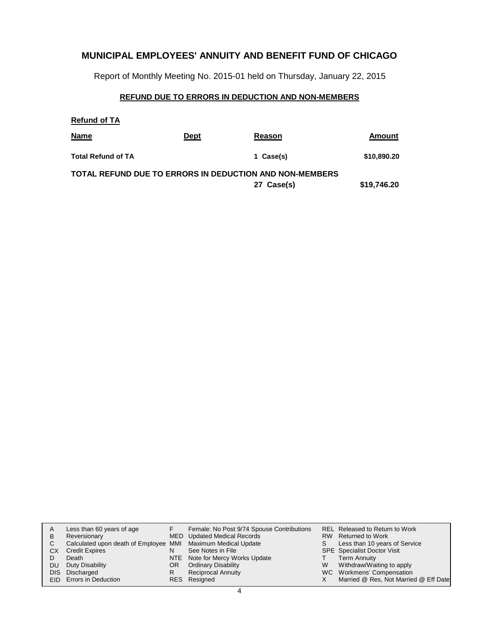Report of Monthly Meeting No. 2015-01 held on Thursday, January 22, 2015

### **REFUND DUE TO ERRORS IN DEDUCTION AND NON-MEMBERS**

| <b>Refund of TA</b>       |             |                                                                       |             |
|---------------------------|-------------|-----------------------------------------------------------------------|-------------|
| <b>Name</b>               | <b>Dept</b> | Reason                                                                | Amount      |
| <b>Total Refund of TA</b> |             | 1 Case(s)                                                             | \$10,890.20 |
|                           |             | TOTAL REFUND DUE TO ERRORS IN DEDUCTION AND NON-MEMBERS<br>27 Case(s) | \$19,746.20 |

| A   | Less than 60 years of age                                    |     | Female: No Post 9/74 Spouse Contributions |   | REL Released to Return to Work        |
|-----|--------------------------------------------------------------|-----|-------------------------------------------|---|---------------------------------------|
| в   | Reversionary                                                 |     | MED Updated Medical Records               |   | RW Returned to Work                   |
| C   | Calculated upon death of Employee MMI Maximum Medical Update |     |                                           | S | Less than 10 years of Service         |
| СX  | <b>Credit Expires</b>                                        | N   | See Notes in File                         |   | <b>SPE</b> Specialist Doctor Visit    |
|     | Death                                                        |     | NTE Note for Mercy Works Update           |   | <b>Term Annuity</b>                   |
| DU. | Duty Disability                                              | OR. | <b>Ordinary Disability</b>                | W | Withdraw/Waiting to apply             |
|     | DIS Discharged                                               | R   | <b>Reciprocal Annuity</b>                 |   | WC Workmens' Compensation             |
|     | EID Errors in Deduction                                      |     | RES Resigned                              |   | Married @ Res, Not Married @ Eff Date |
|     |                                                              |     |                                           |   |                                       |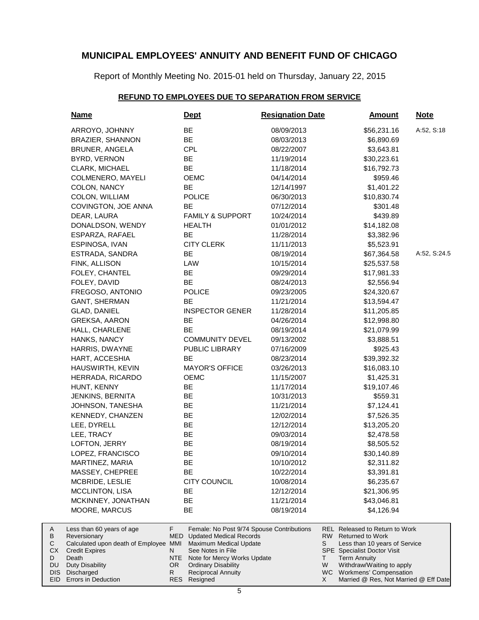Report of Monthly Meeting No. 2015-01 held on Thursday, January 22, 2015

### **REFUND TO EMPLOYEES DUE TO SEPARATION FROM SERVICE**

| <u>Name</u>                               | <u>Dept</u>                                                                              | <b>Resignation Date</b> | <u>Amount</u>                                                           | <b>Note</b>  |
|-------------------------------------------|------------------------------------------------------------------------------------------|-------------------------|-------------------------------------------------------------------------|--------------|
| ARROYO, JOHNNY                            | BE                                                                                       | 08/09/2013              | \$56,231.16                                                             | A:52, S:18   |
| <b>BRAZIER, SHANNON</b>                   | BE                                                                                       | 08/03/2013              | \$6,890.69                                                              |              |
| <b>BRUNER, ANGELA</b>                     | <b>CPL</b>                                                                               | 08/22/2007              | \$3,643.81                                                              |              |
| BYRD, VERNON                              | BE                                                                                       | 11/19/2014              | \$30,223.61                                                             |              |
| CLARK, MICHAEL                            | BE                                                                                       | 11/18/2014              | \$16,792.73                                                             |              |
| COLMENERO, MAYELI                         | <b>OEMC</b>                                                                              | 04/14/2014              | \$959.46                                                                |              |
| COLON, NANCY                              | BE                                                                                       | 12/14/1997              | \$1,401.22                                                              |              |
| COLON, WILLIAM                            | <b>POLICE</b>                                                                            | 06/30/2013              | \$10,830.74                                                             |              |
| COVINGTON, JOE ANNA                       | <b>BE</b>                                                                                | 07/12/2014              | \$301.48                                                                |              |
| DEAR, LAURA                               | <b>FAMILY &amp; SUPPORT</b>                                                              | 10/24/2014              | \$439.89                                                                |              |
| DONALDSON, WENDY                          | <b>HEALTH</b>                                                                            | 01/01/2012              | \$14,182.08                                                             |              |
| ESPARZA, RAFAEL                           | <b>BE</b>                                                                                | 11/28/2014              | \$3,382.96                                                              |              |
| ESPINOSA, IVAN                            | <b>CITY CLERK</b>                                                                        | 11/11/2013              | \$5,523.91                                                              |              |
| ESTRADA, SANDRA                           | BE                                                                                       | 08/19/2014              | \$67,364.58                                                             | A:52, S:24.5 |
| FINK, ALLISON                             | LAW                                                                                      | 10/15/2014              | \$25,537.58                                                             |              |
| FOLEY, CHANTEL                            | BE                                                                                       | 09/29/2014              | \$17,981.33                                                             |              |
| FOLEY, DAVID                              | BE                                                                                       | 08/24/2013              | \$2,556.94                                                              |              |
| FREGOSO, ANTONIO                          | <b>POLICE</b>                                                                            | 09/23/2005              | \$24,320.67                                                             |              |
| <b>GANT, SHERMAN</b>                      | <b>BE</b>                                                                                | 11/21/2014              | \$13,594.47                                                             |              |
| GLAD, DANIEL                              | <b>INSPECTOR GENER</b>                                                                   | 11/28/2014              | \$11,205.85                                                             |              |
| <b>GREKSA, AARON</b>                      | BE                                                                                       | 04/26/2014              | \$12,998.80                                                             |              |
| HALL, CHARLENE                            | BE                                                                                       | 08/19/2014              | \$21,079.99                                                             |              |
| HANKS, NANCY                              | <b>COMMUNITY DEVEL</b>                                                                   | 09/13/2002              | \$3,888.51                                                              |              |
| HARRIS, DWAYNE                            | PUBLIC LIBRARY                                                                           | 07/16/2009              | \$925.43                                                                |              |
| HART, ACCESHIA                            | <b>BE</b>                                                                                | 08/23/2014              | \$39,392.32                                                             |              |
| HAUSWIRTH, KEVIN                          | <b>MAYOR'S OFFICE</b>                                                                    | 03/26/2013              | \$16,083.10                                                             |              |
| HERRADA, RICARDO                          | <b>OEMC</b>                                                                              | 11/15/2007              | \$1,425.31                                                              |              |
| HUNT, KENNY                               | BE                                                                                       | 11/17/2014              | \$19,107.46                                                             |              |
| JENKINS, BERNITA                          | <b>BE</b>                                                                                | 10/31/2013              | \$559.31                                                                |              |
| JOHNSON, TANESHA                          | BE                                                                                       | 11/21/2014              | \$7,124.41                                                              |              |
| KENNEDY, CHANZEN                          | BE                                                                                       | 12/02/2014              | \$7,526.35                                                              |              |
| LEE, DYRELL                               | <b>BE</b>                                                                                | 12/12/2014              | \$13,205.20                                                             |              |
| LEE, TRACY                                | <b>BE</b>                                                                                | 09/03/2014              | \$2,478.58                                                              |              |
| LOFTON, JERRY                             | BE                                                                                       | 08/19/2014              | \$8,505.52                                                              |              |
| LOPEZ, FRANCISCO                          | BE                                                                                       | 09/10/2014              | \$30,140.89                                                             |              |
| MARTINEZ, MARIA                           |                                                                                          | 10/10/2012              | \$2,311.82                                                              |              |
|                                           | ᄟ                                                                                        |                         |                                                                         |              |
| MASSEY, CHEPREE                           | ВE                                                                                       | 10/22/2014              | \$3,391.81                                                              |              |
| MCBRIDE, LESLIE                           | CITY COUNCIL                                                                             | 10/08/2014              | \$6,235.67                                                              |              |
| <b>MCCLINTON, LISA</b>                    | ВE                                                                                       | 12/12/2014              | \$21,306.95                                                             |              |
| MCKINNEY, JONATHAN                        | ВE                                                                                       | 11/21/2014              | \$43,046.81                                                             |              |
| MOORE, MARCUS                             | ВE                                                                                       | 08/19/2014              | \$4,126.94                                                              |              |
| Less than 60 years of age<br>Reversionary | F.<br>Female: No Post 9/74 Spouse Contributions<br>MED<br><b>Updated Medical Records</b> |                         | <b>REL</b> Released to Return to Work<br>RW.<br><b>Returned to Work</b> |              |
| Calculated upon death of Employee MMI     | Maximum Medical Update                                                                   | S                       | Less than 10 years of Service                                           |              |
| <b>Credit Expires</b>                     | See Notes in File<br>N                                                                   |                         | <b>SPE</b> Specialist Doctor Visit                                      |              |
| Death                                     | NTE<br>Note for Mercy Works Update                                                       | Τ                       | <b>Term Annuity</b>                                                     |              |
| <b>Duty Disability</b>                    | OR.<br><b>Ordinary Disability</b>                                                        | W                       | Withdraw/Waiting to apply                                               |              |

Reciprocal Annuity R

RES

Resigned

DIS Discharged EID Errors in Deduction

A B C CX D DU

Workmens' Compensation

WC X

Married @ Res, Not Married @ Eff Date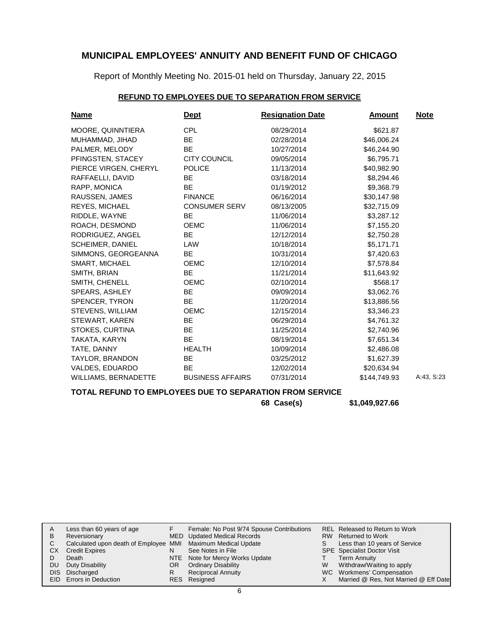Report of Monthly Meeting No. 2015-01 held on Thursday, January 22, 2015

### **REFUND TO EMPLOYEES DUE TO SEPARATION FROM SERVICE**

| <b>Name</b>             | <u>Dept</u>             | <b>Resignation Date</b> | Amount       | <b>Note</b> |
|-------------------------|-------------------------|-------------------------|--------------|-------------|
| MOORE, QUINNTIERA       | <b>CPL</b>              | 08/29/2014              | \$621.87     |             |
| MUHAMMAD, JIHAD         | BE.                     | 02/28/2014              | \$46,006.24  |             |
| PALMER, MELODY          | BE                      | 10/27/2014              | \$46,244.90  |             |
| PFINGSTEN, STACEY       | <b>CITY COUNCIL</b>     | 09/05/2014              | \$6,795.71   |             |
| PIERCE VIRGEN, CHERYL   | <b>POLICE</b>           | 11/13/2014              | \$40,982.90  |             |
| RAFFAELLI, DAVID        | <b>BE</b>               | 03/18/2014              | \$8,294.46   |             |
| RAPP, MONICA            | <b>BE</b>               | 01/19/2012              | \$9,368.79   |             |
| RAUSSEN, JAMES          | <b>FINANCE</b>          | 06/16/2014              | \$30,147.98  |             |
| REYES, MICHAEL          | <b>CONSUMER SERV</b>    | 08/13/2005              | \$32,715.09  |             |
| RIDDLE, WAYNE           | <b>BE</b>               | 11/06/2014              | \$3,287.12   |             |
| ROACH, DESMOND          | <b>OEMC</b>             | 11/06/2014              | \$7,155.20   |             |
| RODRIGUEZ, ANGEL        | BE.                     | 12/12/2014              | \$2,750.28   |             |
| <b>SCHEIMER, DANIEL</b> | LAW                     | 10/18/2014              | \$5,171.71   |             |
| SIMMONS, GEORGEANNA     | <b>BE</b>               | 10/31/2014              | \$7,420.63   |             |
| SMART, MICHAEL          | <b>OEMC</b>             | 12/10/2014              | \$7,578.84   |             |
| SMITH, BRIAN            | BE                      | 11/21/2014              | \$11,643.92  |             |
| SMITH, CHENELL          | <b>OEMC</b>             | 02/10/2014              | \$568.17     |             |
| SPEARS, ASHLEY          | <b>BE</b>               | 09/09/2014              | \$3,062.76   |             |
| SPENCER, TYRON          | <b>BE</b>               | 11/20/2014              | \$13,886.56  |             |
| STEVENS, WILLIAM        | <b>OEMC</b>             | 12/15/2014              | \$3,346.23   |             |
| STEWART, KAREN          | <b>BE</b>               | 06/29/2014              | \$4,761.32   |             |
| STOKES, CURTINA         | <b>BE</b>               | 11/25/2014              | \$2,740.96   |             |
| TAKATA, KARYN           | BE                      | 08/19/2014              | \$7,651.34   |             |
| TATE, DANNY             | <b>HEALTH</b>           | 10/09/2014              | \$2,486.08   |             |
| TAYLOR, BRANDON         | BE.                     | 03/25/2012              | \$1,627.39   |             |
| VALDES, EDUARDO         | <b>BE</b>               | 12/02/2014              | \$20,634.94  |             |
| WILLIAMS, BERNADETTE    | <b>BUSINESS AFFAIRS</b> | 07/31/2014              | \$144,749.93 | A:43, S:23  |

### **TOTAL REFUND TO EMPLOYEES DUE TO SEPARATION FROM SERVICE**

**68 Case(s) \$1,049,927.66**

| А    | Less than 60 years of age                                    |     | Female: No Post 9/74 Spouse Contributions |   | REL Released to Return to Work        |
|------|--------------------------------------------------------------|-----|-------------------------------------------|---|---------------------------------------|
| В    | Reversionary                                                 |     | MED Updated Medical Records               |   | RW Returned to Work                   |
|      | Calculated upon death of Employee MMI Maximum Medical Update |     |                                           |   | Less than 10 years of Service         |
| СX   | <b>Credit Expires</b>                                        |     | See Notes in File                         |   | <b>SPE</b> Specialist Doctor Visit    |
|      | Death                                                        |     | NTE Note for Mercy Works Update           |   | <b>Term Annuity</b>                   |
| DU   | Duty Disability                                              | OR. | <b>Ordinary Disability</b>                | W | Withdraw/Waiting to apply             |
| DIS. | Discharged                                                   |     | <b>Reciprocal Annuity</b>                 |   | WC Workmens' Compensation             |
|      | <b>EID</b> Errors in Deduction                               |     | RES Resigned                              |   | Married @ Res, Not Married @ Eff Date |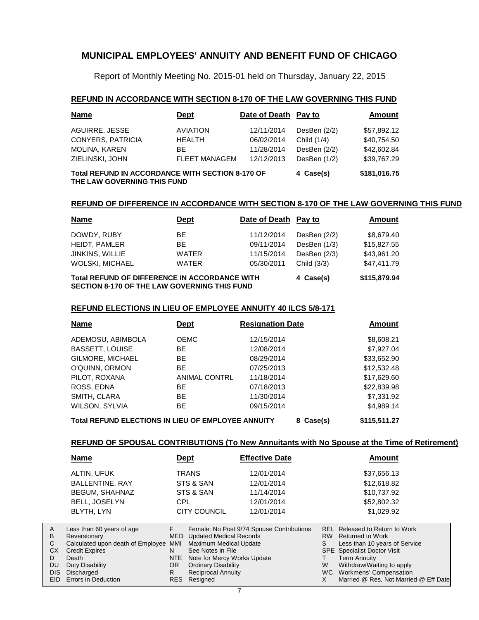Report of Monthly Meeting No. 2015-01 held on Thursday, January 22, 2015

### **REFUND IN ACCORDANCE WITH SECTION 8-170 OF THE LAW GOVERNING THIS FUND**

| <b>Name</b>                                                                     | <b>Dept</b>          | Date of Death Pay to |                | Amount      |
|---------------------------------------------------------------------------------|----------------------|----------------------|----------------|-------------|
| AGUIRRE, JESSE                                                                  | <b>AVIATION</b>      | 12/11/2014           | DesBen $(2/2)$ | \$57,892.12 |
| <b>CONYERS, PATRICIA</b>                                                        | <b>HEALTH</b>        | 06/02/2014           | Child (1/4)    | \$40,754.50 |
| <b>MOLINA, KAREN</b>                                                            | ВE                   | 11/28/2014           | DesBen $(2/2)$ | \$42,602.84 |
| ZIELINSKI, JOHN                                                                 | <b>FLEET MANAGEM</b> | 12/12/2013           | DesBen (1/2)   | \$39,767.29 |
| Total REFUND IN ACCORDANCE WITH SECTION 8-170 OF<br>THE LAW GOVERNING THIS FUND | 4 Case(s)            | \$181,016.75         |                |             |

#### **REFUND OF DIFFERENCE IN ACCORDANCE WITH SECTION 8-170 OF THE LAW GOVERNING THIS FUND**

| <b>Name</b>                                          | <b>Dept</b>  | Date of Death Pay to |                | <b>Amount</b> |  |  |
|------------------------------------------------------|--------------|----------------------|----------------|---------------|--|--|
| DOWDY, RUBY                                          | BE.          | 11/12/2014           | DesBen $(2/2)$ | \$8,679.40    |  |  |
| HEIDT, PAMLER                                        | BE.          | 09/11/2014           | DesBen (1/3)   | \$15,827.55   |  |  |
| <b>JINKINS, WILLIE</b>                               | <b>WATER</b> | 11/15/2014           | DesBen $(2/3)$ | \$43,961.20   |  |  |
| WOLSKI, MICHAEL                                      | <b>WATER</b> | 05/30/2011           | Child (3/3)    | \$47,411.79   |  |  |
| <b>Total REFUND OF DIFFERENCE IN ACCORDANCE WITH</b> |              |                      | 4 Case(s)      | \$115,879.94  |  |  |

**SECTION 8-170 OF THE LAW GOVERNING THIS FUND**

#### **REFUND ELECTIONS IN LIEU OF EMPLOYEE ANNUITY 40 ILCS 5/8-171**

| Name                                                                            | <b>Dept</b>          | <b>Resignation Date</b> | Amount      |  |  |  |  |  |
|---------------------------------------------------------------------------------|----------------------|-------------------------|-------------|--|--|--|--|--|
| ADEMOSU, ABIMBOLA                                                               | <b>OEMC</b>          | 12/15/2014              | \$8,608.21  |  |  |  |  |  |
| <b>BASSETT, LOUISE</b>                                                          | <b>BE</b>            | 12/08/2014              | \$7,927.04  |  |  |  |  |  |
| GILMORE, MICHAEL                                                                | <b>BE</b>            | 08/29/2014              | \$33,652.90 |  |  |  |  |  |
| O'QUINN, ORMON                                                                  | <b>BE</b>            | 07/25/2013              | \$12,532.48 |  |  |  |  |  |
| PILOT, ROXANA                                                                   | <b>ANIMAL CONTRL</b> | 11/18/2014              | \$17,629.60 |  |  |  |  |  |
| ROSS, EDNA                                                                      | BE                   | 07/18/2013              | \$22,839.98 |  |  |  |  |  |
| SMITH, CLARA                                                                    | <b>BE</b>            | 11/30/2014              | \$7,331.92  |  |  |  |  |  |
| WILSON, SYLVIA                                                                  | <b>BE</b>            | 09/15/2014              | \$4,989.14  |  |  |  |  |  |
| Total REFUND ELECTIONS IN LIEU OF EMPLOYEE ANNUITY<br>\$115,511.27<br>8 Case(s) |                      |                         |             |  |  |  |  |  |

### **REFUND OF SPOUSAL CONTRIBUTIONS (To New Annuitants with No Spouse at the Time of Retirement)**

|            | <b>Name</b>                           | <b>Dept</b> |                                    | <b>Effective Date</b>                     |           | Amount                                |
|------------|---------------------------------------|-------------|------------------------------------|-------------------------------------------|-----------|---------------------------------------|
|            | <b>ALTIN, UFUK</b>                    |             | <b>TRANS</b>                       | 12/01/2014                                |           | \$37,656.13                           |
|            | <b>BALLENTINE, RAY</b>                |             | STS & SAN                          | 12/01/2014                                |           | \$12,618.82                           |
|            | <b>BEGUM, SHAHNAZ</b>                 |             | STS & SAN                          | 11/14/2014                                |           | \$10,737.92                           |
|            | BELL, JOSELYN                         | <b>CPL</b>  |                                    | 12/01/2014                                |           | \$52,802.32                           |
|            | BLYTH, LYN                            |             | <b>CITY COUNCIL</b>                | 12/01/2014                                |           | \$1,029.92                            |
| A          | Less than 60 years of age             | F.          |                                    | Female: No Post 9/74 Spouse Contributions |           | REL Released to Return to Work        |
| В          | Reversionary                          |             | <b>MED</b> Updated Medical Records |                                           | <b>RW</b> | <b>Returned to Work</b>               |
| C          | Calculated upon death of Employee MMI |             | <b>Maximum Medical Update</b>      |                                           | S         | Less than 10 years of Service         |
| <b>CX</b>  | <b>Credit Expires</b>                 | N.          | See Notes in File                  |                                           |           | SPE Specialist Doctor Visit           |
| D          | Death                                 | NTE         | Note for Mercy Works Update        |                                           |           | <b>Term Annuity</b>                   |
| <b>DU</b>  | Duty Disability                       | OR.         | <b>Ordinary Disability</b>         |                                           | W         | Withdraw/Waiting to apply             |
| <b>DIS</b> | Discharged                            | R.          | <b>Reciprocal Annuity</b>          |                                           |           | WC Workmens' Compensation             |
| EID.       | Errors in Deduction                   |             | RES Resigned                       |                                           | X         | Married @ Res, Not Married @ Eff Date |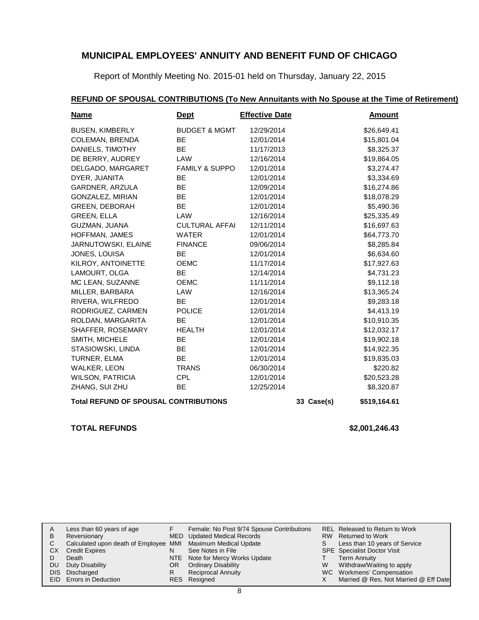Report of Monthly Meeting No. 2015-01 held on Thursday, January 22, 2015

# **REFUND OF SPOUSAL CONTRIBUTIONS (To New Annuitants with No Spouse at the Time of Retirement)**

| <b>Name</b>                                  | <u>Dept</u>               | <b>Effective Date</b> |              | <b>Amount</b> |  |
|----------------------------------------------|---------------------------|-----------------------|--------------|---------------|--|
| <b>BUSEN, KIMBERLY</b>                       | <b>BUDGET &amp; MGMT</b>  | 12/29/2014            |              | \$26,649.41   |  |
| <b>COLEMAN, BRENDA</b>                       | <b>BE</b>                 | 12/01/2014            |              | \$15,801.04   |  |
| DANIELS, TIMOTHY                             | <b>BE</b>                 | 11/17/2013            |              | \$8,325.37    |  |
| DE BERRY, AUDREY                             | LAW                       | 12/16/2014            |              | \$19,864.05   |  |
| DELGADO, MARGARET                            | <b>FAMILY &amp; SUPPO</b> | 12/01/2014            |              | \$3,274.47    |  |
| DYER, JUANITA                                | <b>BE</b>                 | 12/01/2014            |              | \$3,334.69    |  |
| GARDNER, ARZULA                              | <b>BE</b>                 | 12/09/2014            |              | \$16,274.86   |  |
| GONZALEZ, MIRIAN                             | <b>BE</b>                 | 12/01/2014            |              | \$18,078.29   |  |
| <b>GREEN, DEBORAH</b>                        | <b>BE</b>                 | 12/01/2014            |              | \$5,490.36    |  |
| <b>GREEN, ELLA</b>                           | LAW                       | 12/16/2014            |              | \$25,335.49   |  |
| GUZMAN, JUANA                                | <b>CULTURAL AFFAI</b>     | 12/11/2014            |              | \$16,697.63   |  |
| HOFFMAN, JAMES                               | <b>WATER</b>              | 12/01/2014            |              | \$64,773.70   |  |
| JARNUTOWSKI, ELAINE                          | <b>FINANCE</b>            | 09/06/2014            |              | \$8,285.84    |  |
| JONES, LOUISA                                | <b>BE</b>                 | 12/01/2014            |              | \$6,634.60    |  |
| KILROY, ANTOINETTE                           | <b>OEMC</b>               | 11/17/2014            |              | \$17,927.63   |  |
| LAMOURT, OLGA                                | <b>BE</b>                 | 12/14/2014            |              | \$4,731.23    |  |
| MC LEAN, SUZANNE                             | <b>OEMC</b>               | 11/11/2014            |              | \$9,112.18    |  |
| MILLER, BARBARA                              | LAW                       | 12/16/2014            |              | \$13,365.24   |  |
| RIVERA, WILFREDO                             | <b>BE</b>                 | 12/01/2014            |              | \$9,283.18    |  |
| RODRIGUEZ, CARMEN                            | <b>POLICE</b>             | 12/01/2014            |              | \$4,413.19    |  |
| ROLDAN, MARGARITA                            | <b>BE</b>                 | 12/01/2014            |              | \$10,910.35   |  |
| SHAFFER, ROSEMARY                            | <b>HEALTH</b>             | 12/01/2014            |              | \$12,032.17   |  |
| SMITH, MICHELE                               | <b>BE</b>                 | 12/01/2014            |              | \$19,902.18   |  |
| STASIOWSKI, LINDA                            | <b>BE</b>                 | 12/01/2014            |              | \$14,922.35   |  |
| TURNER, ELMA                                 | <b>BE</b>                 | 12/01/2014            |              | \$19,835.03   |  |
| <b>WALKER, LEON</b>                          | <b>TRANS</b>              | 06/30/2014            |              | \$220.82      |  |
| <b>WILSON, PATRICIA</b>                      | <b>CPL</b>                | 12/01/2014            |              | \$20,523.28   |  |
| ZHANG, SUI ZHU                               | <b>BE</b>                 | 12/25/2014            |              | \$8,320.87    |  |
| <b>Total REFUND OF SPOUSAL CONTRIBUTIONS</b> |                           | 33 Case(s)            | \$519,164.61 |               |  |

### **TOTAL REFUNDS \$2,001,246.43**

| A   | Less than 60 years of age                                    |     | Female: No Post 9/74 Spouse Contributions |   | REL Released to Return to Work        |
|-----|--------------------------------------------------------------|-----|-------------------------------------------|---|---------------------------------------|
| B   | Reversionary                                                 |     | MED Updated Medical Records               |   | RW Returned to Work                   |
|     | Calculated upon death of Employee MMI Maximum Medical Update |     |                                           | S | Less than 10 years of Service         |
| CX. | <b>Credit Expires</b>                                        |     | See Notes in File                         |   | <b>SPE</b> Specialist Doctor Visit    |
|     | Death                                                        |     | NTE Note for Mercy Works Update           |   | Term Annuity                          |
| DU. | Duty Disability                                              | OR. | <b>Ordinary Disability</b>                | W | Withdraw/Waiting to apply             |
|     | DIS Discharged                                               |     | <b>Reciprocal Annuity</b>                 |   | WC Workmens' Compensation             |
|     | EID Errors in Deduction                                      |     | RES Resigned                              |   | Married @ Res, Not Married @ Eff Date |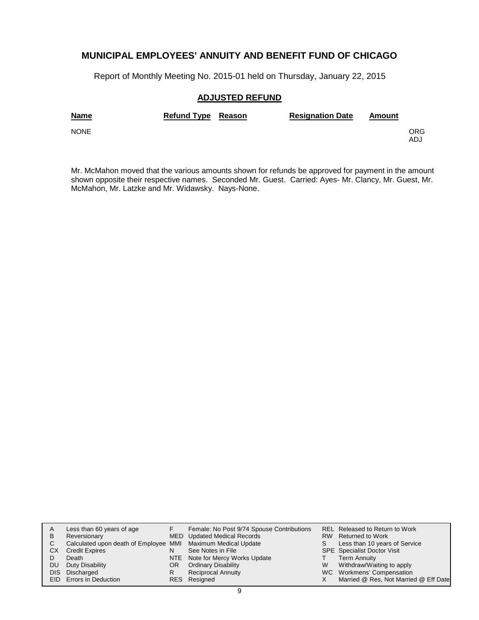Report of Monthly Meeting No. 2015-01 held on Thursday, January 22, 2015

### **ADJUSTED REFUND**

| <b>Name</b> | Refund Type Reason | <b>Resignation Date</b> | Amount |             |
|-------------|--------------------|-------------------------|--------|-------------|
| <b>NONE</b> |                    |                         |        | ORG.<br>ADJ |

Mr. McMahon moved that the various amounts shown for refunds be approved for payment in the amount shown opposite their respective names. Seconded Mr. Guest. Carried: Ayes- Mr. Clancy, Mr. Guest, Mr. McMahon, Mr. Latzke and Mr. Widawsky. Nays-None.

| A  | Less than 60 years of age                                    |    | Female: No Post 9/74 Spouse Contributions |   | <b>REL Released to Return to Work</b> |
|----|--------------------------------------------------------------|----|-------------------------------------------|---|---------------------------------------|
| в  | Reversionary                                                 |    | MED Updated Medical Records               |   | RW Returned to Work                   |
| C  | Calculated upon death of Employee MMI Maximum Medical Update |    |                                           | S | Less than 10 years of Service         |
| CХ | <b>Credit Expires</b>                                        | N  | See Notes in File                         |   | <b>SPE</b> Specialist Doctor Visit    |
|    | Death                                                        |    | NTE Note for Mercy Works Update           |   | <b>Term Annuity</b>                   |
| DU | Duty Disability                                              | OR | <b>Ordinary Disability</b>                | W | Withdraw/Waiting to apply             |
|    | DIS Discharged                                               | R  | <b>Reciprocal Annuity</b>                 |   | WC Workmens' Compensation             |
|    | <b>EID</b> Errors in Deduction                               |    | RES Resigned                              |   | Married @ Res, Not Married @ Eff Date |
|    |                                                              |    |                                           |   |                                       |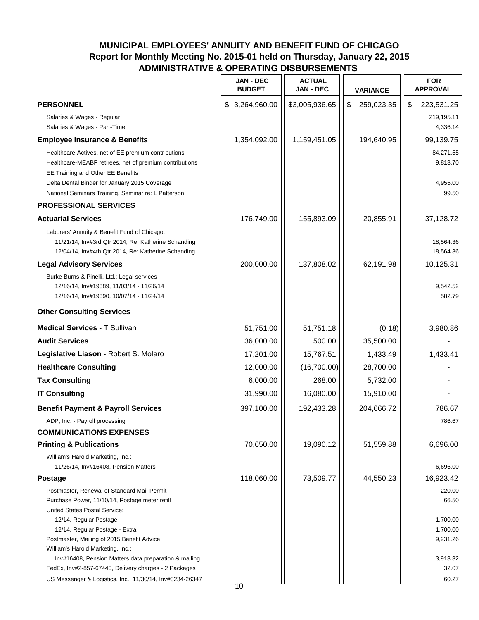| \$ 3,264,960.00<br>\$3,005,936.65<br>\$<br>259,023.35<br>\$<br><b>PERSONNEL</b><br>Salaries & Wages - Regular<br>Salaries & Wages - Part-Time<br>1,354,092.00<br>1,159,451.05<br>194,640.95<br><b>Employee Insurance &amp; Benefits</b><br>Healthcare-Actives, net of EE premium contr butions<br>Healthcare-MEABF retirees, net of premium contributions<br>EE Training and Other EE Benefits<br>Delta Dental Binder for January 2015 Coverage<br>National Seminars Training, Seminar re: L Patterson<br><b>PROFESSIONAL SERVICES</b><br><b>Actuarial Services</b><br>155,893.09<br>20,855.91<br>176,749.00<br>Laborers' Annuity & Benefit Fund of Chicago:<br>11/21/14, Inv#3rd Qtr 2014, Re: Katherine Schanding<br>12/04/14, Inv#4th Qtr 2014, Re: Katherine Schanding<br>200,000.00<br>137,808.02<br>62,191.98<br><b>Legal Advisory Services</b><br>Burke Burns & Pinelli, Ltd.: Legal services<br>12/16/14, Inv#19389, 11/03/14 - 11/26/14<br>12/16/14, Inv#19390, 10/07/14 - 11/24/14<br><b>Other Consulting Services</b><br><b>Medical Services - T Sullivan</b><br>51,751.00<br>51,751.18<br>(0.18)<br><b>Audit Services</b><br>36,000.00<br>500.00<br>35,500.00<br>Legislative Liason - Robert S. Molaro<br>17,201.00<br>15,767.51<br>1,433.49<br>12,000.00<br>(16,700.00)<br>28,700.00<br><b>Healthcare Consulting</b><br><b>Tax Consulting</b><br>6,000.00<br>268.00<br>5,732.00<br>31,990.00<br>16,080.00<br><b>IT Consulting</b><br>15,910.00<br>397,100.00<br>192,433.28<br>204,666.72<br><b>Benefit Payment &amp; Payroll Services</b><br>ADP, Inc. - Payroll processing<br><b>COMMUNICATIONS EXPENSES</b><br>70,650.00<br>19,090.12<br>51,559.88<br><b>Printing &amp; Publications</b><br>William's Harold Marketing, Inc.:<br>11/26/14, Inv#16408, Pension Matters<br>6,696.00<br>118,060.00<br>73,509.77<br>44,550.23<br>16,923.42<br><b>Postage</b><br>Postmaster, Renewal of Standard Mail Permit<br>220.00<br>Purchase Power, 11/10/14, Postage meter refill<br>United States Postal Service:<br>12/14, Regular Postage<br>12/14, Regular Postage - Extra<br>Postmaster, Mailing of 2015 Benefit Advice<br>William's Harold Marketing, Inc.:<br>Inv#16408, Pension Matters data preparation & mailing<br>3,913.32 |                                                       | <b>JAN - DEC</b><br><b>BUDGET</b> | <b>ACTUAL</b><br><b>JAN - DEC</b> | <b>VARIANCE</b> | <b>FOR</b><br><b>APPROVAL</b>              |
|-----------------------------------------------------------------------------------------------------------------------------------------------------------------------------------------------------------------------------------------------------------------------------------------------------------------------------------------------------------------------------------------------------------------------------------------------------------------------------------------------------------------------------------------------------------------------------------------------------------------------------------------------------------------------------------------------------------------------------------------------------------------------------------------------------------------------------------------------------------------------------------------------------------------------------------------------------------------------------------------------------------------------------------------------------------------------------------------------------------------------------------------------------------------------------------------------------------------------------------------------------------------------------------------------------------------------------------------------------------------------------------------------------------------------------------------------------------------------------------------------------------------------------------------------------------------------------------------------------------------------------------------------------------------------------------------------------------------------------------------------------------------------------------------------------------------------------------------------------------------------------------------------------------------------------------------------------------------------------------------------------------------------------------------------------------------------------------------------------------------------------------------------------------------------------------------------------------------------------------------|-------------------------------------------------------|-----------------------------------|-----------------------------------|-----------------|--------------------------------------------|
|                                                                                                                                                                                                                                                                                                                                                                                                                                                                                                                                                                                                                                                                                                                                                                                                                                                                                                                                                                                                                                                                                                                                                                                                                                                                                                                                                                                                                                                                                                                                                                                                                                                                                                                                                                                                                                                                                                                                                                                                                                                                                                                                                                                                                                         |                                                       |                                   |                                   |                 | 223,531.25                                 |
|                                                                                                                                                                                                                                                                                                                                                                                                                                                                                                                                                                                                                                                                                                                                                                                                                                                                                                                                                                                                                                                                                                                                                                                                                                                                                                                                                                                                                                                                                                                                                                                                                                                                                                                                                                                                                                                                                                                                                                                                                                                                                                                                                                                                                                         |                                                       |                                   |                                   |                 | 219,195.11<br>4,336.14                     |
|                                                                                                                                                                                                                                                                                                                                                                                                                                                                                                                                                                                                                                                                                                                                                                                                                                                                                                                                                                                                                                                                                                                                                                                                                                                                                                                                                                                                                                                                                                                                                                                                                                                                                                                                                                                                                                                                                                                                                                                                                                                                                                                                                                                                                                         |                                                       |                                   |                                   |                 | 99,139.75                                  |
|                                                                                                                                                                                                                                                                                                                                                                                                                                                                                                                                                                                                                                                                                                                                                                                                                                                                                                                                                                                                                                                                                                                                                                                                                                                                                                                                                                                                                                                                                                                                                                                                                                                                                                                                                                                                                                                                                                                                                                                                                                                                                                                                                                                                                                         |                                                       |                                   |                                   |                 | 84,271.55<br>9,813.70<br>4,955.00<br>99.50 |
|                                                                                                                                                                                                                                                                                                                                                                                                                                                                                                                                                                                                                                                                                                                                                                                                                                                                                                                                                                                                                                                                                                                                                                                                                                                                                                                                                                                                                                                                                                                                                                                                                                                                                                                                                                                                                                                                                                                                                                                                                                                                                                                                                                                                                                         |                                                       |                                   |                                   |                 |                                            |
|                                                                                                                                                                                                                                                                                                                                                                                                                                                                                                                                                                                                                                                                                                                                                                                                                                                                                                                                                                                                                                                                                                                                                                                                                                                                                                                                                                                                                                                                                                                                                                                                                                                                                                                                                                                                                                                                                                                                                                                                                                                                                                                                                                                                                                         |                                                       |                                   |                                   |                 | 37,128.72                                  |
|                                                                                                                                                                                                                                                                                                                                                                                                                                                                                                                                                                                                                                                                                                                                                                                                                                                                                                                                                                                                                                                                                                                                                                                                                                                                                                                                                                                                                                                                                                                                                                                                                                                                                                                                                                                                                                                                                                                                                                                                                                                                                                                                                                                                                                         |                                                       |                                   |                                   |                 | 18,564.36<br>18,564.36                     |
|                                                                                                                                                                                                                                                                                                                                                                                                                                                                                                                                                                                                                                                                                                                                                                                                                                                                                                                                                                                                                                                                                                                                                                                                                                                                                                                                                                                                                                                                                                                                                                                                                                                                                                                                                                                                                                                                                                                                                                                                                                                                                                                                                                                                                                         |                                                       |                                   |                                   |                 | 10,125.31                                  |
|                                                                                                                                                                                                                                                                                                                                                                                                                                                                                                                                                                                                                                                                                                                                                                                                                                                                                                                                                                                                                                                                                                                                                                                                                                                                                                                                                                                                                                                                                                                                                                                                                                                                                                                                                                                                                                                                                                                                                                                                                                                                                                                                                                                                                                         |                                                       |                                   |                                   |                 | 9,542.52<br>582.79                         |
|                                                                                                                                                                                                                                                                                                                                                                                                                                                                                                                                                                                                                                                                                                                                                                                                                                                                                                                                                                                                                                                                                                                                                                                                                                                                                                                                                                                                                                                                                                                                                                                                                                                                                                                                                                                                                                                                                                                                                                                                                                                                                                                                                                                                                                         |                                                       |                                   |                                   |                 |                                            |
|                                                                                                                                                                                                                                                                                                                                                                                                                                                                                                                                                                                                                                                                                                                                                                                                                                                                                                                                                                                                                                                                                                                                                                                                                                                                                                                                                                                                                                                                                                                                                                                                                                                                                                                                                                                                                                                                                                                                                                                                                                                                                                                                                                                                                                         |                                                       |                                   |                                   |                 | 3,980.86                                   |
|                                                                                                                                                                                                                                                                                                                                                                                                                                                                                                                                                                                                                                                                                                                                                                                                                                                                                                                                                                                                                                                                                                                                                                                                                                                                                                                                                                                                                                                                                                                                                                                                                                                                                                                                                                                                                                                                                                                                                                                                                                                                                                                                                                                                                                         |                                                       |                                   |                                   |                 |                                            |
|                                                                                                                                                                                                                                                                                                                                                                                                                                                                                                                                                                                                                                                                                                                                                                                                                                                                                                                                                                                                                                                                                                                                                                                                                                                                                                                                                                                                                                                                                                                                                                                                                                                                                                                                                                                                                                                                                                                                                                                                                                                                                                                                                                                                                                         |                                                       |                                   |                                   |                 | 1,433.41                                   |
|                                                                                                                                                                                                                                                                                                                                                                                                                                                                                                                                                                                                                                                                                                                                                                                                                                                                                                                                                                                                                                                                                                                                                                                                                                                                                                                                                                                                                                                                                                                                                                                                                                                                                                                                                                                                                                                                                                                                                                                                                                                                                                                                                                                                                                         |                                                       |                                   |                                   |                 |                                            |
|                                                                                                                                                                                                                                                                                                                                                                                                                                                                                                                                                                                                                                                                                                                                                                                                                                                                                                                                                                                                                                                                                                                                                                                                                                                                                                                                                                                                                                                                                                                                                                                                                                                                                                                                                                                                                                                                                                                                                                                                                                                                                                                                                                                                                                         |                                                       |                                   |                                   |                 |                                            |
|                                                                                                                                                                                                                                                                                                                                                                                                                                                                                                                                                                                                                                                                                                                                                                                                                                                                                                                                                                                                                                                                                                                                                                                                                                                                                                                                                                                                                                                                                                                                                                                                                                                                                                                                                                                                                                                                                                                                                                                                                                                                                                                                                                                                                                         |                                                       |                                   |                                   |                 |                                            |
|                                                                                                                                                                                                                                                                                                                                                                                                                                                                                                                                                                                                                                                                                                                                                                                                                                                                                                                                                                                                                                                                                                                                                                                                                                                                                                                                                                                                                                                                                                                                                                                                                                                                                                                                                                                                                                                                                                                                                                                                                                                                                                                                                                                                                                         |                                                       |                                   |                                   |                 | 786.67                                     |
|                                                                                                                                                                                                                                                                                                                                                                                                                                                                                                                                                                                                                                                                                                                                                                                                                                                                                                                                                                                                                                                                                                                                                                                                                                                                                                                                                                                                                                                                                                                                                                                                                                                                                                                                                                                                                                                                                                                                                                                                                                                                                                                                                                                                                                         |                                                       |                                   |                                   |                 | 786.67                                     |
|                                                                                                                                                                                                                                                                                                                                                                                                                                                                                                                                                                                                                                                                                                                                                                                                                                                                                                                                                                                                                                                                                                                                                                                                                                                                                                                                                                                                                                                                                                                                                                                                                                                                                                                                                                                                                                                                                                                                                                                                                                                                                                                                                                                                                                         |                                                       |                                   |                                   |                 |                                            |
|                                                                                                                                                                                                                                                                                                                                                                                                                                                                                                                                                                                                                                                                                                                                                                                                                                                                                                                                                                                                                                                                                                                                                                                                                                                                                                                                                                                                                                                                                                                                                                                                                                                                                                                                                                                                                                                                                                                                                                                                                                                                                                                                                                                                                                         |                                                       |                                   |                                   |                 | 6,696.00                                   |
|                                                                                                                                                                                                                                                                                                                                                                                                                                                                                                                                                                                                                                                                                                                                                                                                                                                                                                                                                                                                                                                                                                                                                                                                                                                                                                                                                                                                                                                                                                                                                                                                                                                                                                                                                                                                                                                                                                                                                                                                                                                                                                                                                                                                                                         |                                                       |                                   |                                   |                 |                                            |
|                                                                                                                                                                                                                                                                                                                                                                                                                                                                                                                                                                                                                                                                                                                                                                                                                                                                                                                                                                                                                                                                                                                                                                                                                                                                                                                                                                                                                                                                                                                                                                                                                                                                                                                                                                                                                                                                                                                                                                                                                                                                                                                                                                                                                                         |                                                       |                                   |                                   |                 |                                            |
|                                                                                                                                                                                                                                                                                                                                                                                                                                                                                                                                                                                                                                                                                                                                                                                                                                                                                                                                                                                                                                                                                                                                                                                                                                                                                                                                                                                                                                                                                                                                                                                                                                                                                                                                                                                                                                                                                                                                                                                                                                                                                                                                                                                                                                         |                                                       |                                   |                                   |                 |                                            |
|                                                                                                                                                                                                                                                                                                                                                                                                                                                                                                                                                                                                                                                                                                                                                                                                                                                                                                                                                                                                                                                                                                                                                                                                                                                                                                                                                                                                                                                                                                                                                                                                                                                                                                                                                                                                                                                                                                                                                                                                                                                                                                                                                                                                                                         |                                                       |                                   |                                   |                 | 66.50                                      |
|                                                                                                                                                                                                                                                                                                                                                                                                                                                                                                                                                                                                                                                                                                                                                                                                                                                                                                                                                                                                                                                                                                                                                                                                                                                                                                                                                                                                                                                                                                                                                                                                                                                                                                                                                                                                                                                                                                                                                                                                                                                                                                                                                                                                                                         |                                                       |                                   |                                   |                 |                                            |
|                                                                                                                                                                                                                                                                                                                                                                                                                                                                                                                                                                                                                                                                                                                                                                                                                                                                                                                                                                                                                                                                                                                                                                                                                                                                                                                                                                                                                                                                                                                                                                                                                                                                                                                                                                                                                                                                                                                                                                                                                                                                                                                                                                                                                                         |                                                       |                                   |                                   |                 | 1,700.00                                   |
|                                                                                                                                                                                                                                                                                                                                                                                                                                                                                                                                                                                                                                                                                                                                                                                                                                                                                                                                                                                                                                                                                                                                                                                                                                                                                                                                                                                                                                                                                                                                                                                                                                                                                                                                                                                                                                                                                                                                                                                                                                                                                                                                                                                                                                         |                                                       |                                   |                                   |                 | 1,700.00                                   |
|                                                                                                                                                                                                                                                                                                                                                                                                                                                                                                                                                                                                                                                                                                                                                                                                                                                                                                                                                                                                                                                                                                                                                                                                                                                                                                                                                                                                                                                                                                                                                                                                                                                                                                                                                                                                                                                                                                                                                                                                                                                                                                                                                                                                                                         |                                                       |                                   |                                   |                 | 9,231.26                                   |
|                                                                                                                                                                                                                                                                                                                                                                                                                                                                                                                                                                                                                                                                                                                                                                                                                                                                                                                                                                                                                                                                                                                                                                                                                                                                                                                                                                                                                                                                                                                                                                                                                                                                                                                                                                                                                                                                                                                                                                                                                                                                                                                                                                                                                                         |                                                       |                                   |                                   |                 |                                            |
|                                                                                                                                                                                                                                                                                                                                                                                                                                                                                                                                                                                                                                                                                                                                                                                                                                                                                                                                                                                                                                                                                                                                                                                                                                                                                                                                                                                                                                                                                                                                                                                                                                                                                                                                                                                                                                                                                                                                                                                                                                                                                                                                                                                                                                         | FedEx, Inv#2-857-67440, Delivery charges - 2 Packages |                                   |                                   |                 | 32.07                                      |
| US Messenger & Logistics, Inc., 11/30/14, Inv#3234-26347<br>10                                                                                                                                                                                                                                                                                                                                                                                                                                                                                                                                                                                                                                                                                                                                                                                                                                                                                                                                                                                                                                                                                                                                                                                                                                                                                                                                                                                                                                                                                                                                                                                                                                                                                                                                                                                                                                                                                                                                                                                                                                                                                                                                                                          |                                                       |                                   |                                   |                 | 60.27                                      |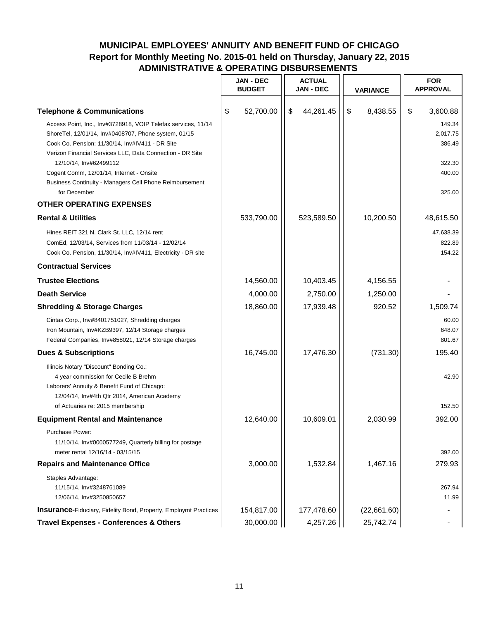|                                                                                                                                                                                                                                       | <b>JAN - DEC</b><br><b>BUDGET</b> | <b>ACTUAL</b><br><b>JAN - DEC</b> | <b>VARIANCE</b> | <b>FOR</b><br><b>APPROVAL</b> |
|---------------------------------------------------------------------------------------------------------------------------------------------------------------------------------------------------------------------------------------|-----------------------------------|-----------------------------------|-----------------|-------------------------------|
| <b>Telephone &amp; Communications</b>                                                                                                                                                                                                 | 52,700.00<br>\$                   | 44,261.45<br>\$                   | \$<br>8,438.55  | \$<br>3,600.88                |
| Access Point, Inc., Inv#3728918, VOIP Telefax services, 11/14<br>ShoreTel, 12/01/14, Inv#0408707, Phone system, 01/15<br>Cook Co. Pension: 11/30/14, Inv#IV411 - DR Site<br>Verizon Financial Services LLC, Data Connection - DR Site |                                   |                                   |                 | 149.34<br>2,017.75<br>386.49  |
| 12/10/14, Inv#62499112<br>Cogent Comm, 12/01/14, Internet - Onsite<br>Business Continuity - Managers Cell Phone Reimbursement<br>for December                                                                                         |                                   |                                   |                 | 322.30<br>400.00<br>325.00    |
| <b>OTHER OPERATING EXPENSES</b>                                                                                                                                                                                                       |                                   |                                   |                 |                               |
| <b>Rental &amp; Utilities</b>                                                                                                                                                                                                         | 533,790.00                        | 523,589.50                        | 10,200.50       | 48,615.50                     |
| Hines REIT 321 N. Clark St. LLC, 12/14 rent<br>ComEd, 12/03/14, Services from 11/03/14 - 12/02/14<br>Cook Co. Pension, 11/30/14, Inv#IV411, Electricity - DR site                                                                     |                                   |                                   |                 | 47,638.39<br>822.89<br>154.22 |
| <b>Contractual Services</b>                                                                                                                                                                                                           |                                   |                                   |                 |                               |
| <b>Trustee Elections</b>                                                                                                                                                                                                              | 14,560.00                         | 10,403.45                         | 4,156.55        |                               |
| <b>Death Service</b>                                                                                                                                                                                                                  | 4,000.00                          | 2,750.00                          | 1,250.00        |                               |
| <b>Shredding &amp; Storage Charges</b>                                                                                                                                                                                                | 18,860.00                         | 17,939.48                         | 920.52          | 1,509.74                      |
| Cintas Corp., Inv#8401751027, Shredding charges<br>Iron Mountain, Inv#KZB9397, 12/14 Storage charges<br>Federal Companies, Inv#858021, 12/14 Storage charges                                                                          |                                   |                                   |                 | 60.00<br>648.07<br>801.67     |
| <b>Dues &amp; Subscriptions</b>                                                                                                                                                                                                       | 16,745.00                         | 17,476.30                         | (731.30)        | 195.40                        |
| Illinois Notary "Discount" Bonding Co.:<br>4 year commission for Cecile B Brehm<br>Laborers' Annuity & Benefit Fund of Chicago:<br>12/04/14, Inv#4th Qtr 2014, American Academy<br>of Actuaries re: 2015 membership                   |                                   |                                   |                 | 42.90<br>152.50               |
| <b>Equipment Rental and Maintenance</b>                                                                                                                                                                                               | 12,640.00                         | 10,609.01                         | 2,030.99        | 392.00                        |
| Purchase Power:<br>11/10/14, Inv#0000577249, Quarterly billing for postage<br>meter rental 12/16/14 - 03/15/15                                                                                                                        |                                   |                                   |                 | 392.00                        |
| <b>Repairs and Maintenance Office</b>                                                                                                                                                                                                 | 3,000.00                          | 1,532.84                          | 1,467.16        | 279.93                        |
| Staples Advantage:<br>11/15/14, Inv#3248761089<br>12/06/14, Inv#3250850657                                                                                                                                                            |                                   |                                   |                 | 267.94<br>11.99               |
| <b>Insurance-Fiduciary, Fidelity Bond, Property, Employmt Practices</b>                                                                                                                                                               | 154,817.00                        | 177,478.60                        | (22,661.60)     |                               |
| <b>Travel Expenses - Conferences &amp; Others</b>                                                                                                                                                                                     | 30,000.00                         | 4,257.26                          | 25,742.74       |                               |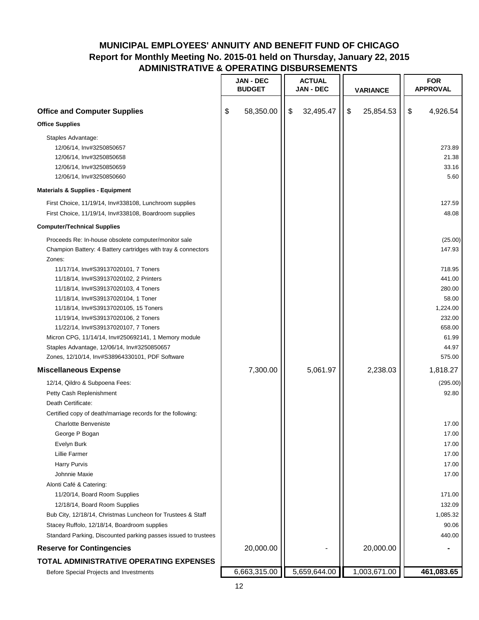|                                                                                                                                                                                                                                                                                                                                                                                                                                                                               | <b>JAN - DEC</b><br><b>BUDGET</b> | <b>ACTUAL</b><br><b>JAN - DEC</b> | <b>VARIANCE</b> | <b>FOR</b><br><b>APPROVAL</b>                                                                                    |
|-------------------------------------------------------------------------------------------------------------------------------------------------------------------------------------------------------------------------------------------------------------------------------------------------------------------------------------------------------------------------------------------------------------------------------------------------------------------------------|-----------------------------------|-----------------------------------|-----------------|------------------------------------------------------------------------------------------------------------------|
| <b>Office and Computer Supplies</b>                                                                                                                                                                                                                                                                                                                                                                                                                                           | \$<br>58,350.00                   | \$<br>32,495.47                   | \$<br>25,854.53 | \$<br>4,926.54                                                                                                   |
| <b>Office Supplies</b>                                                                                                                                                                                                                                                                                                                                                                                                                                                        |                                   |                                   |                 |                                                                                                                  |
| Staples Advantage:<br>12/06/14, Inv#3250850657<br>12/06/14, Inv#3250850658<br>12/06/14, Inv#3250850659<br>12/06/14, Inv#3250850660                                                                                                                                                                                                                                                                                                                                            |                                   |                                   |                 | 273.89<br>21.38<br>33.16<br>5.60                                                                                 |
| <b>Materials &amp; Supplies - Equipment</b>                                                                                                                                                                                                                                                                                                                                                                                                                                   |                                   |                                   |                 |                                                                                                                  |
| First Choice, 11/19/14, Inv#338108, Lunchroom supplies<br>First Choice, 11/19/14, Inv#338108, Boardroom supplies                                                                                                                                                                                                                                                                                                                                                              |                                   |                                   |                 | 127.59<br>48.08                                                                                                  |
| <b>Computer/Technical Supplies</b>                                                                                                                                                                                                                                                                                                                                                                                                                                            |                                   |                                   |                 |                                                                                                                  |
| Proceeds Re: In-house obsolete computer/monitor sale<br>Champion Battery: 4 Battery cartridges with tray & connectors<br>Zones:                                                                                                                                                                                                                                                                                                                                               |                                   |                                   |                 | (25.00)<br>147.93                                                                                                |
| 11/17/14, Inv#S39137020101, 7 Toners<br>11/18/14, Inv#S39137020102, 2 Printers<br>11/18/14, Inv#S39137020103, 4 Toners<br>11/18/14, Inv#S39137020104, 1 Toner<br>11/18/14, Inv#S39137020105, 15 Toners<br>11/19/14, Inv#S39137020106, 2 Toners<br>11/22/14, Inv#S39137020107, 7 Toners<br>Micron CPG, 11/14/14, Inv#250692141, 1 Memory module<br>Staples Advantage, 12/06/14, Inv#3250850657<br>Zones, 12/10/14, Inv#S38964330101, PDF Software                              |                                   |                                   |                 | 718.95<br>441.00<br>280.00<br>58.00<br>1,224.00<br>232.00<br>658.00<br>61.99<br>44.97<br>575.00                  |
| <b>Miscellaneous Expense</b>                                                                                                                                                                                                                                                                                                                                                                                                                                                  | 7,300.00                          | 5,061.97                          | 2,238.03        | 1,818.27                                                                                                         |
| 12/14, Qildro & Subpoena Fees:<br>Petty Cash Replenishment<br>Death Certificate:<br>Certified copy of death/marriage records for the following:<br>Charlotte Benveniste<br>George P Bogan<br>Evelyn Burk<br><b>Lillie Farmer</b><br>Harry Purvis<br>Johnnie Maxie<br>Alonti Café & Catering:<br>11/20/14, Board Room Supplies<br>12/18/14, Board Room Supplies<br>Bub City, 12/18/14, Christmas Luncheon for Trustees & Staff<br>Stacey Ruffolo, 12/18/14, Boardroom supplies |                                   |                                   |                 | (295.00)<br>92.80<br>17.00<br>17.00<br>17.00<br>17.00<br>17.00<br>17.00<br>171.00<br>132.09<br>1,085.32<br>90.06 |
| Standard Parking, Discounted parking passes issued to trustees<br><b>Reserve for Contingencies</b>                                                                                                                                                                                                                                                                                                                                                                            | 20,000.00                         |                                   | 20,000.00       | 440.00                                                                                                           |
| TOTAL ADMINISTRATIVE OPERATING EXPENSES                                                                                                                                                                                                                                                                                                                                                                                                                                       |                                   |                                   |                 |                                                                                                                  |
| Before Special Projects and Investments                                                                                                                                                                                                                                                                                                                                                                                                                                       | 6,663,315.00                      | 5,659,644.00                      | 1,003,671.00    | 461,083.65                                                                                                       |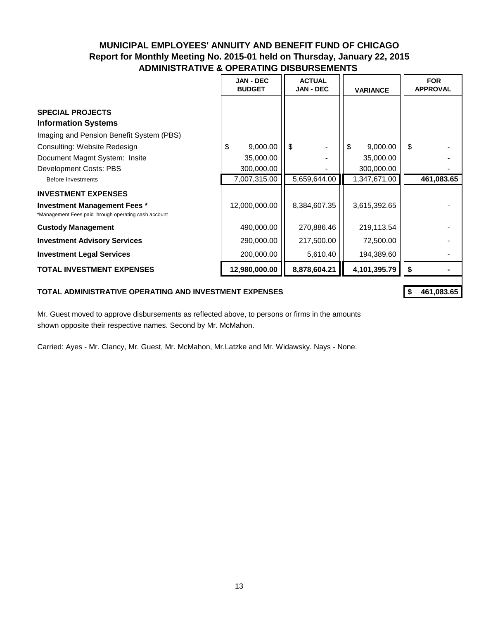|                                                                                                                                   | <b>JAN - DEC</b><br><b>BUDGET</b> | <b>ACTUAL</b><br><b>JAN - DEC</b><br><b>VARIANCE</b> |                         | <b>FOR</b><br><b>APPROVAL</b> |
|-----------------------------------------------------------------------------------------------------------------------------------|-----------------------------------|------------------------------------------------------|-------------------------|-------------------------------|
| <b>SPECIAL PROJECTS</b><br><b>Information Systems</b><br>Imaging and Pension Benefit System (PBS)<br>Consulting: Website Redesign | 9,000.00<br>\$                    | -\$                                                  | 9,000.00<br>\$          | -\$                           |
| Document Magmt System: Insite<br>Development Costs: PBS                                                                           | 35,000.00<br>300,000.00           |                                                      | 35,000.00<br>300,000.00 |                               |
| Before Investments                                                                                                                | 7,007,315.00                      | 5,659,644.00                                         | 1,347,671.00            | 461,083.65                    |
| <b>INVESTMENT EXPENSES</b>                                                                                                        |                                   |                                                      |                         |                               |
| <b>Investment Management Fees *</b><br>*Management Fees paid hrough operating cash account                                        | 12,000,000.00                     | 8,384,607.35                                         | 3,615,392.65            |                               |
| <b>Custody Management</b>                                                                                                         | 490,000.00                        | 270,886.46                                           | 219,113.54              |                               |
| <b>Investment Advisory Services</b>                                                                                               | 290,000.00                        | 217,500.00                                           | 72,500.00               |                               |
| <b>Investment Legal Services</b>                                                                                                  | 200,000.00                        | 5,610.40                                             | 194,389.60              |                               |
| <b>TOTAL INVESTMENT EXPENSES</b>                                                                                                  | 12,980,000.00                     | 8,878,604.21                                         | 4,101,395.79            | \$                            |

#### **TOTAL ADMINISTRATIVE OPERATING AND INVESTMENT EXPENSES \$ 461,083.65**

Mr. Guest moved to approve disbursements as reflected above, to persons or firms in the amounts shown opposite their respective names. Second by Mr. McMahon.

Carried: Ayes - Mr. Clancy, Mr. Guest, Mr. McMahon, Mr.Latzke and Mr. Widawsky. Nays - None.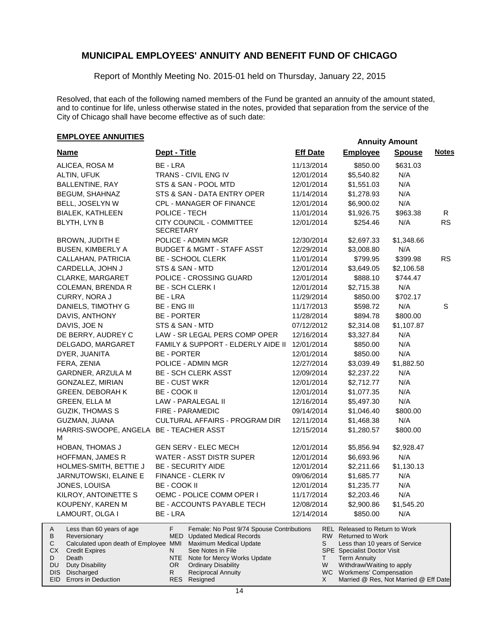Report of Monthly Meeting No. 2015-01 held on Thursday, January 22, 2015

Resolved, that each of the following named members of the Fund be granted an annuity of the amount stated, and to continue for life, unless otherwise stated in the notes, provided that separation from the service of the City of Chicago shall have become effective as of such date:

## **EMPLOYEE ANNUITIES**

| <b>Name</b>                                                                                                                                                                                          | Dept - Title                                                                                                                                                                                                                                            | <b>Eff Date</b> | <b>Employee</b>                                                                                                                                                                                                      | <b>Spouse</b> | <b>Notes</b> |
|------------------------------------------------------------------------------------------------------------------------------------------------------------------------------------------------------|---------------------------------------------------------------------------------------------------------------------------------------------------------------------------------------------------------------------------------------------------------|-----------------|----------------------------------------------------------------------------------------------------------------------------------------------------------------------------------------------------------------------|---------------|--------------|
| ALICEA, ROSA M                                                                                                                                                                                       | BE - LRA                                                                                                                                                                                                                                                | 11/13/2014      | \$850.00                                                                                                                                                                                                             | \$631.03      |              |
| ALTIN, UFUK                                                                                                                                                                                          | TRANS - CIVIL ENG IV                                                                                                                                                                                                                                    | 12/01/2014      | \$5,540.82                                                                                                                                                                                                           | N/A           |              |
| BALLENTINE, RAY                                                                                                                                                                                      | STS & SAN - POOL MTD                                                                                                                                                                                                                                    | 12/01/2014      | \$1,551.03                                                                                                                                                                                                           | N/A           |              |
| BEGUM, SHAHNAZ                                                                                                                                                                                       | STS & SAN - DATA ENTRY OPER                                                                                                                                                                                                                             | 11/14/2014      | \$1,278.93                                                                                                                                                                                                           | N/A           |              |
| BELL, JOSELYN W                                                                                                                                                                                      | CPL - MANAGER OF FINANCE                                                                                                                                                                                                                                | 12/01/2014      | \$6,900.02                                                                                                                                                                                                           | N/A           |              |
| <b>BIALEK, KATHLEEN</b>                                                                                                                                                                              | POLICE - TECH                                                                                                                                                                                                                                           | 11/01/2014      | \$1,926.75                                                                                                                                                                                                           | \$963.38      | R            |
| BLYTH, LYN B                                                                                                                                                                                         | CITY COUNCIL - COMMITTEE<br><b>SECRETARY</b>                                                                                                                                                                                                            | 12/01/2014      | \$254.46                                                                                                                                                                                                             | N/A           | <b>RS</b>    |
| <b>BROWN, JUDITH E</b>                                                                                                                                                                               | POLICE - ADMIN MGR                                                                                                                                                                                                                                      | 12/30/2014      | \$2,697.33                                                                                                                                                                                                           | \$1,348.66    |              |
| BUSEN, KIMBERLY A                                                                                                                                                                                    | <b>BUDGET &amp; MGMT - STAFF ASST</b>                                                                                                                                                                                                                   | 12/29/2014      | \$3,008.80                                                                                                                                                                                                           | N/A           |              |
| CALLAHAN, PATRICIA                                                                                                                                                                                   | <b>BE - SCHOOL CLERK</b>                                                                                                                                                                                                                                | 11/01/2014      | \$799.95                                                                                                                                                                                                             | \$399.98      | <b>RS</b>    |
| CARDELLA, JOHN J                                                                                                                                                                                     | STS & SAN - MTD                                                                                                                                                                                                                                         | 12/01/2014      | \$3,649.05                                                                                                                                                                                                           | \$2,106.58    |              |
| CLARKE, MARGARET                                                                                                                                                                                     | POLICE - CROSSING GUARD                                                                                                                                                                                                                                 | 12/01/2014      | \$888.10                                                                                                                                                                                                             | \$744.47      |              |
| <b>COLEMAN, BRENDA R</b>                                                                                                                                                                             | <b>BE - SCH CLERK I</b>                                                                                                                                                                                                                                 | 12/01/2014      | \$2,715.38                                                                                                                                                                                                           | N/A           |              |
| CURRY, NORA J                                                                                                                                                                                        | BE - LRA                                                                                                                                                                                                                                                | 11/29/2014      | \$850.00                                                                                                                                                                                                             | \$702.17      |              |
| DANIELS, TIMOTHY G                                                                                                                                                                                   | <b>BE - ENG III</b>                                                                                                                                                                                                                                     | 11/17/2013      | \$598.72                                                                                                                                                                                                             | N/A           | S            |
| DAVIS, ANTHONY                                                                                                                                                                                       | <b>BE - PORTER</b>                                                                                                                                                                                                                                      | 11/28/2014      | \$894.78                                                                                                                                                                                                             | \$800.00      |              |
| DAVIS, JOE N                                                                                                                                                                                         | STS & SAN - MTD                                                                                                                                                                                                                                         | 07/12/2012      | \$2,314.08                                                                                                                                                                                                           | \$1,107.87    |              |
| DE BERRY, AUDREY C                                                                                                                                                                                   | LAW - SR LEGAL PERS COMP OPER                                                                                                                                                                                                                           | 12/16/2014      | \$3,327.84                                                                                                                                                                                                           | N/A           |              |
| DELGADO, MARGARET                                                                                                                                                                                    | FAMILY & SUPPORT - ELDERLY AIDE II                                                                                                                                                                                                                      | 12/01/2014      | \$850.00                                                                                                                                                                                                             | N/A           |              |
| DYER, JUANITA                                                                                                                                                                                        | <b>BE - PORTER</b>                                                                                                                                                                                                                                      | 12/01/2014      | \$850.00                                                                                                                                                                                                             | N/A           |              |
| FERA, ZENIA                                                                                                                                                                                          | POLICE - ADMIN MGR                                                                                                                                                                                                                                      | 12/27/2014      | \$3,039.49                                                                                                                                                                                                           | \$1,882.50    |              |
| GARDNER, ARZULA M                                                                                                                                                                                    | <b>BE - SCH CLERK ASST</b>                                                                                                                                                                                                                              | 12/09/2014      | \$2,237.22                                                                                                                                                                                                           | N/A           |              |
| GONZALEZ, MIRIAN                                                                                                                                                                                     | <b>BE - CUST WKR</b>                                                                                                                                                                                                                                    | 12/01/2014      | \$2,712.77                                                                                                                                                                                                           | N/A           |              |
| <b>GREEN, DEBORAH K</b>                                                                                                                                                                              | BE - COOK II                                                                                                                                                                                                                                            | 12/01/2014      | \$1,077.35                                                                                                                                                                                                           | N/A           |              |
| GREEN, ELLA M                                                                                                                                                                                        | LAW - PARALEGAL II                                                                                                                                                                                                                                      | 12/16/2014      | \$5,497.30                                                                                                                                                                                                           | N/A           |              |
| <b>GUZIK, THOMAS S</b>                                                                                                                                                                               | FIRE - PARAMEDIC                                                                                                                                                                                                                                        | 09/14/2014      | \$1,046.40                                                                                                                                                                                                           | \$800.00      |              |
| GUZMAN, JUANA                                                                                                                                                                                        | CULTURAL AFFAIRS - PROGRAM DIR                                                                                                                                                                                                                          | 12/11/2014      | \$1,468.38                                                                                                                                                                                                           | N/A           |              |
| HARRIS-SWOOPE, ANGELA BE - TEACHER ASST<br>м                                                                                                                                                         |                                                                                                                                                                                                                                                         | 12/15/2014      | \$1,280.57                                                                                                                                                                                                           | \$800.00      |              |
| <b>HOBAN, THOMAS J</b>                                                                                                                                                                               | <b>GEN SERV - ELEC MECH</b>                                                                                                                                                                                                                             | 12/01/2014      | \$5,856.94                                                                                                                                                                                                           | \$2,928.47    |              |
| HOFFMAN, JAMES R                                                                                                                                                                                     | WATER - ASST DISTR SUPER                                                                                                                                                                                                                                | 12/01/2014      | \$6,693.96                                                                                                                                                                                                           | N/A           |              |
| HOLMES-SMITH, BETTIE J                                                                                                                                                                               | <b>BE - SECURITY AIDE</b>                                                                                                                                                                                                                               | 12/01/2014      | \$2,211.66                                                                                                                                                                                                           | \$1,130.13    |              |
| JARNUTOWSKI, ELAINE E                                                                                                                                                                                | FINANCE - CLERK IV                                                                                                                                                                                                                                      | 09/06/2014      | \$1,685.77                                                                                                                                                                                                           | N/A           |              |
| JONES, LOUISA                                                                                                                                                                                        | <b>BE - COOK II</b>                                                                                                                                                                                                                                     | 12/01/2014      | \$1,235.77                                                                                                                                                                                                           | N/A           |              |
| KILROY, ANTOINETTE S                                                                                                                                                                                 | OEMC - POLICE COMM OPER I                                                                                                                                                                                                                               | 11/17/2014      | \$2,203.46                                                                                                                                                                                                           | N/A           |              |
| KOUPENY, KAREN M                                                                                                                                                                                     | BE - ACCOUNTS PAYABLE TECH                                                                                                                                                                                                                              | 12/08/2014      | \$2,900.86                                                                                                                                                                                                           | \$1,545.20    |              |
| LAMOURT, OLGA I                                                                                                                                                                                      | BE - LRA                                                                                                                                                                                                                                                | 12/14/2014      | \$850.00                                                                                                                                                                                                             | N/A           |              |
| Less than 60 years of age<br>A<br>В<br>Reversionary<br>С<br>Calculated upon death of Employee MMI<br>CX<br><b>Credit Expires</b><br>Death<br>D<br>DU<br><b>Duty Disability</b><br>DISI<br>Discharged | F.<br>Female: No Post 9/74 Spouse Contributions<br><b>MED</b> Updated Medical Records<br>Maximum Medical Update<br>N<br>See Notes in File<br>NTE<br>Note for Mercy Works Update<br>OR.<br><b>Ordinary Disability</b><br><b>Reciprocal Annuity</b><br>R. | S<br>T.<br>W    | <b>REL Released to Return to Work</b><br>RW Returned to Work<br>Less than 10 years of Service<br><b>SPE</b> Specialist Doctor Visit<br><b>Term Annuity</b><br>Withdraw/Waiting to apply<br>WC Workmens' Compensation |               |              |
| EID Errors in Deduction                                                                                                                                                                              | RES Resigned                                                                                                                                                                                                                                            | X               | Married @ Res, Not Married @ Eff Date                                                                                                                                                                                |               |              |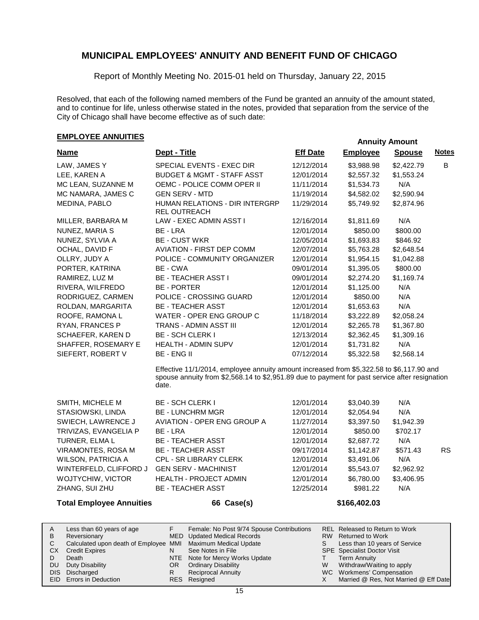Report of Monthly Meeting No. 2015-01 held on Thursday, January 22, 2015

Resolved, that each of the following named members of the Fund be granted an annuity of the amount stated, and to continue for life, unless otherwise stated in the notes, provided that separation from the service of the City of Chicago shall have become effective as of such date:

## **EMPLOYEE ANNUITIES**

| <b>Name</b>           | Dept - Title                                                                                                                                                                                        | <b>Eff Date</b> | <b>Employee</b> | <b>Spouse</b> | <b>Notes</b> |
|-----------------------|-----------------------------------------------------------------------------------------------------------------------------------------------------------------------------------------------------|-----------------|-----------------|---------------|--------------|
| LAW, JAMES Y          | SPECIAL EVENTS - EXEC DIR                                                                                                                                                                           | 12/12/2014      | \$3,988.98      | \$2,422.79    | B            |
| LEE, KAREN A          | <b>BUDGET &amp; MGMT - STAFF ASST</b>                                                                                                                                                               | 12/01/2014      | \$2,557.32      | \$1,553.24    |              |
| MC LEAN, SUZANNE M    | OEMC - POLICE COMM OPER II                                                                                                                                                                          | 11/11/2014      | \$1,534.73      | N/A           |              |
| MC NAMARA, JAMES C    | <b>GEN SERV - MTD</b>                                                                                                                                                                               | 11/19/2014      | \$4,582.02      | \$2,590.94    |              |
| MEDINA, PABLO         | HUMAN RELATIONS - DIR INTERGRP<br>REL OUTREACH                                                                                                                                                      | 11/29/2014      | \$5,749.92      | \$2,874.96    |              |
| MILLER, BARBARA M     | LAW - EXEC ADMIN ASST I                                                                                                                                                                             | 12/16/2014      | \$1,811.69      | N/A           |              |
| NUNEZ, MARIA S        | BE - LRA                                                                                                                                                                                            | 12/01/2014      | \$850.00        | \$800.00      |              |
| NUNEZ, SYLVIA A       | <b>BE - CUST WKR</b>                                                                                                                                                                                | 12/05/2014      | \$1,693.83      | \$846.92      |              |
| OCHAL, DAVID F        | <b>AVIATION - FIRST DEP COMM</b>                                                                                                                                                                    | 12/07/2014      | \$5,763.28      | \$2,648.54    |              |
| OLLRY, JUDY A         | POLICE - COMMUNITY ORGANIZER                                                                                                                                                                        | 12/01/2014      | \$1,954.15      | \$1,042.88    |              |
| PORTER, KATRINA       | BE - CWA                                                                                                                                                                                            | 09/01/2014      | \$1,395.05      | \$800.00      |              |
| RAMIREZ, LUZ M        | <b>BE - TEACHER ASST I</b>                                                                                                                                                                          | 09/01/2014      | \$2,274.20      | \$1,169.74    |              |
| RIVERA, WILFREDO      | <b>BE - PORTER</b>                                                                                                                                                                                  | 12/01/2014      | \$1,125.00      | N/A           |              |
| RODRIGUEZ, CARMEN     | POLICE - CROSSING GUARD                                                                                                                                                                             | 12/01/2014      | \$850.00        | N/A           |              |
| ROLDAN, MARGARITA     | <b>BE - TEACHER ASST</b>                                                                                                                                                                            | 12/01/2014      | \$1,653.63      | N/A           |              |
| ROOFE, RAMONA L       | WATER - OPER ENG GROUP C                                                                                                                                                                            | 11/18/2014      | \$3,222.89      | \$2,058.24    |              |
| RYAN, FRANCES P       | <b>TRANS - ADMIN ASST III</b>                                                                                                                                                                       | 12/01/2014      | \$2,265.78      | \$1,367.80    |              |
| SCHAEFER, KAREN D     | <b>BE - SCH CLERK I</b>                                                                                                                                                                             | 12/13/2014      | \$2,362.45      | \$1,309.16    |              |
| SHAFFER, ROSEMARY E   | <b>HEALTH - ADMIN SUPV</b>                                                                                                                                                                          | 12/01/2014      | \$1,731.82      | N/A           |              |
| SIEFERT, ROBERT V     | <b>BE-ENGIL</b>                                                                                                                                                                                     | 07/12/2014      | \$5,322.58      | \$2,568.14    |              |
|                       | Effective 11/1/2014, employee annuity amount increased from \$5,322.58 to \$6,117.90 and<br>spouse annuity from \$2,568.14 to \$2,951.89 due to payment for past service after resignation<br>date. |                 |                 |               |              |
| SMITH, MICHELE M      | <b>BE - SCH CLERK I</b>                                                                                                                                                                             | 12/01/2014      | \$3,040.39      | N/A           |              |
| STASIOWSKI, LINDA     | <b>BE - LUNCHRM MGR</b>                                                                                                                                                                             | 12/01/2014      | \$2,054.94      | N/A           |              |
| SWIECH, LAWRENCE J    | <b>AVIATION - OPER ENG GROUP A</b>                                                                                                                                                                  | 11/27/2014      | \$3,397.50      | \$1,942.39    |              |
| TRIVIZAS, EVANGELIA P | BE - LRA                                                                                                                                                                                            | 12/01/2014      | \$850.00        | \$702.17      |              |
| TURNER, ELMA L        | <b>BE - TEACHER ASST</b>                                                                                                                                                                            | 12/01/2014      | \$2,687.72      | N/A           |              |
| VIRAMONTES, ROSA M    | <b>BE - TEACHER ASST</b>                                                                                                                                                                            | 09/17/2014      | \$1,142.87      | \$571.43      | <b>RS</b>    |

Calculated upon death of Employee MMI Maximum Medical Update See Notes in File N

F

Less than 60 years of age

Reversionary

CX Credit Expires Death DU Duty Disability DIS Discharged EID Errors in Deduction

A B C D.

NTE Note for Mercy Works Update Ordinary Disability OR

WILSON, PATRICIA A CPL - SR LIBRARY CLERK 12/01/2014 \$3,491.06 N/A WINTERFELD, CLIFFORD J GEN SERV - MACHINIST 12/01/2014 \$5,543.07 \$2,962.92 WOJTYCHIW, VICTOR HEALTH - PROJECT ADMIN 12/01/2014 \$6,780.00 \$3,406.95 ZHANG, SUI ZHU BE - TEACHER ASST 12/25/2014 \$981.22 N/A

**Total Employee Annuities 66 Case(s) \$166,402.03**

MED Updated Medical Records

- Resigned RESR
- Reciprocal Annuity
	-
- SPE Specialist Doctor Visit Term Annuity T W

S

Withdraw/Waiting to apply WC Workmens' Compensation Married @ Res, Not Married @ Eff Date X

Less than 10 years of Service

Released to Return to Work REL

RW Returned to Work

Female: No Post 9/74 Spouse Contributions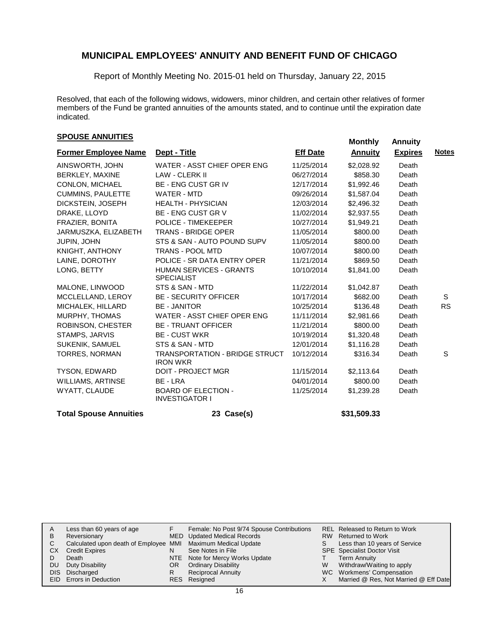Report of Monthly Meeting No. 2015-01 held on Thursday, January 22, 2015

Resolved, that each of the following widows, widowers, minor children, and certain other relatives of former members of the Fund be granted annuities of the amounts stated, and to continue until the expiration date indicated.

# **SPOUSE ANNUITIES**<br> **SPOUSE ANNUITIES**

| <b>Former Employee Name</b>   | Dept - Title                                             | <b>Eff Date</b> | <u>Annuity</u> | <b>Expires</b> | <b>Notes</b> |
|-------------------------------|----------------------------------------------------------|-----------------|----------------|----------------|--------------|
| AINSWORTH, JOHN               | WATER - ASST CHIEF OPER ENG                              | 11/25/2014      | \$2,028.92     | Death          |              |
| BERKLEY, MAXINE               | LAW - CLERK II                                           | 06/27/2014      | \$858.30       | Death          |              |
| CONLON, MICHAEL               | <b>BE - ENG CUST GR IV</b>                               | 12/17/2014      | \$1,992.46     | Death          |              |
| <b>CUMMINS, PAULETTE</b>      | WATER - MTD                                              | 09/26/2014      | \$1,587.04     | Death          |              |
| DICKSTEIN, JOSEPH             | <b>HEALTH - PHYSICIAN</b>                                | 12/03/2014      | \$2,496.32     | Death          |              |
| DRAKE, LLOYD                  | <b>BE - ENG CUST GR V</b>                                | 11/02/2014      | \$2,937.55     | Death          |              |
| FRAZIER, BONITA               | <b>POLICE - TIMEKEEPER</b>                               | 10/27/2014      | \$1,949.21     | Death          |              |
| JARMUSZKA, ELIZABETH          | <b>TRANS - BRIDGE OPER</b>                               | 11/05/2014      | \$800.00       | Death          |              |
| JUPIN, JOHN                   | STS & SAN - AUTO POUND SUPV                              | 11/05/2014      | \$800.00       | Death          |              |
| KNIGHT, ANTHONY               | <b>TRANS - POOL MTD</b>                                  | 10/07/2014      | \$800.00       | Death          |              |
| LAINE, DOROTHY                | POLICE - SR DATA ENTRY OPER                              | 11/21/2014      | \$869.50       | Death          |              |
| LONG, BETTY                   | <b>HUMAN SERVICES - GRANTS</b><br><b>SPECIALIST</b>      | 10/10/2014      | \$1,841.00     | Death          |              |
| MALONE, LINWOOD               | STS & SAN - MTD                                          | 11/22/2014      | \$1,042.87     | Death          |              |
| MCCLELLAND, LEROY             | <b>BE - SECURITY OFFICER</b>                             | 10/17/2014      | \$682.00       | Death          | S            |
| MICHALEK, HILLARD             | <b>BE - JANITOR</b>                                      | 10/25/2014      | \$136.48       | Death          | <b>RS</b>    |
| MURPHY, THOMAS                | WATER - ASST CHIEF OPER ENG                              | 11/11/2014      | \$2,981.66     | Death          |              |
| ROBINSON, CHESTER             | <b>BE - TRUANT OFFICER</b>                               | 11/21/2014      | \$800.00       | Death          |              |
| STAMPS, JARVIS                | <b>BE - CUST WKR</b>                                     | 10/19/2014      | \$1,320.48     | Death          |              |
| <b>SUKENIK, SAMUEL</b>        | STS & SAN - MTD                                          | 12/01/2014      | \$1,116.28     | Death          |              |
| <b>TORRES, NORMAN</b>         | <b>TRANSPORTATION - BRIDGE STRUCT</b><br><b>IRON WKR</b> | 10/12/2014      | \$316.34       | Death          | S            |
| TYSON, EDWARD                 | <b>DOIT - PROJECT MGR</b>                                | 11/15/2014      | \$2,113.64     | Death          |              |
| <b>WILLIAMS, ARTINSE</b>      | BE - LRA                                                 | 04/01/2014      | \$800.00       | Death          |              |
| WYATT, CLAUDE                 | <b>BOARD OF ELECTION -</b><br><b>INVESTIGATOR I</b>      | 11/25/2014      | \$1,239.28     | Death          |              |
| <b>Total Spouse Annuities</b> | 23 Case(s)                                               |                 | \$31,509.33    |                |              |

|      | Less than 60 years of age                                    |     | Female: No Post 9/74 Spouse Contributions |   | REL Released to Return to Work        |
|------|--------------------------------------------------------------|-----|-------------------------------------------|---|---------------------------------------|
| B    | Reversionary                                                 |     | MED Updated Medical Records               |   | RW Returned to Work                   |
|      | Calculated upon death of Employee MMI Maximum Medical Update |     |                                           | S | Less than 10 years of Service         |
| СX   | <b>Credit Expires</b>                                        | N   | See Notes in File                         |   | <b>SPE</b> Specialist Doctor Visit    |
|      | Death                                                        |     | NTE Note for Mercy Works Update           |   | Term Annuity                          |
| DU   | Duty Disability                                              | OR. | <b>Ordinary Disability</b>                | W | Withdraw/Waiting to apply             |
| DIS. | Discharged                                                   | R   | <b>Reciprocal Annuity</b>                 |   | WC Workmens' Compensation             |
|      | <b>EID</b> Errors in Deduction                               |     | RES Resigned                              |   | Married @ Res, Not Married @ Eff Date |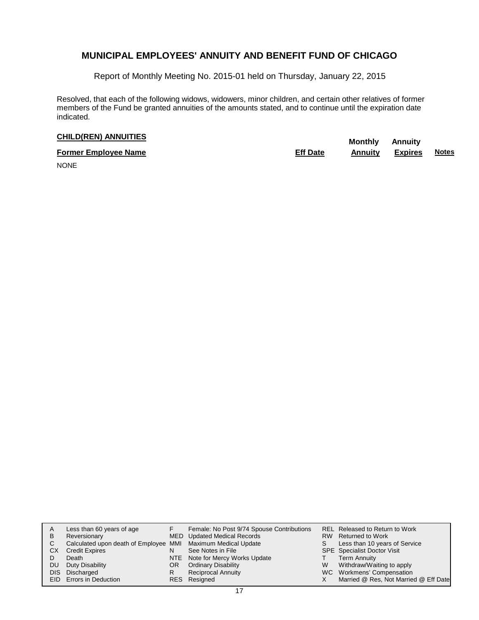Report of Monthly Meeting No. 2015-01 held on Thursday, January 22, 2015

Resolved, that each of the following widows, widowers, minor children, and certain other relatives of former members of the Fund be granted annuities of the amounts stated, and to continue until the expiration date indicated.

# **CHILD(REN) ANNUITIES Monthly** Annuity

| <b>Former Employee Name</b> | <b>Eff Date</b> | Annuitv | <b>Expires</b> | <b>Notes</b> |
|-----------------------------|-----------------|---------|----------------|--------------|
| $\cdots$                    |                 |         |                |              |

NONE

| в<br>С<br>CХ<br>DU<br>DIS. | Less than 60 years of age<br>Reversionary<br>Calculated upon death of Employee MMI Maximum Medical Update<br><b>Credit Expires</b><br>Death<br>Duty Disability<br>Discharged<br>EID Errors in Deduction | N<br>OR<br>R | Female: No Post 9/74 Spouse Contributions<br>MED Updated Medical Records<br>See Notes in File<br>NTE Note for Mercy Works Update<br><b>Ordinary Disability</b><br><b>Reciprocal Annuity</b><br>RES Resigned | S.<br>W | REL Released to Return to Work<br>RW Returned to Work<br>Less than 10 years of Service<br><b>SPE</b> Specialist Doctor Visit<br><b>Term Annuity</b><br>Withdraw/Waiting to apply<br>WC Workmens' Compensation<br>Married @ Res, Not Married @ Eff Date |
|----------------------------|---------------------------------------------------------------------------------------------------------------------------------------------------------------------------------------------------------|--------------|-------------------------------------------------------------------------------------------------------------------------------------------------------------------------------------------------------------|---------|--------------------------------------------------------------------------------------------------------------------------------------------------------------------------------------------------------------------------------------------------------|
|----------------------------|---------------------------------------------------------------------------------------------------------------------------------------------------------------------------------------------------------|--------------|-------------------------------------------------------------------------------------------------------------------------------------------------------------------------------------------------------------|---------|--------------------------------------------------------------------------------------------------------------------------------------------------------------------------------------------------------------------------------------------------------|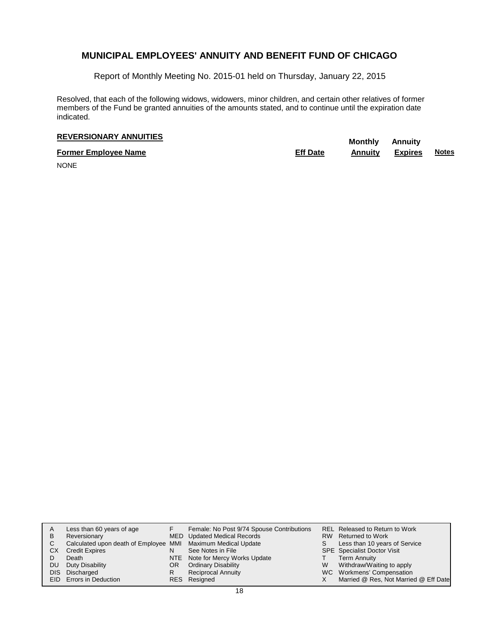Report of Monthly Meeting No. 2015-01 held on Thursday, January 22, 2015

Resolved, that each of the following widows, widowers, minor children, and certain other relatives of former members of the Fund be granted annuities of the amounts stated, and to continue until the expiration date indicated.

# **REVERSIONARY ANNUITIES**<br> **REVERSIONARY ANNUITIES**

**Former Employee Name Eff Date Annuity Expires Notes**

NONE

| A   | Less than 60 years of age                                    |     | Female: No Post 9/74 Spouse Contributions |   | <b>REL Released to Return to Work</b> |
|-----|--------------------------------------------------------------|-----|-------------------------------------------|---|---------------------------------------|
| в   | Reversionary                                                 |     | MED Updated Medical Records               |   | RW Returned to Work                   |
| С   | Calculated upon death of Employee MMI Maximum Medical Update |     |                                           | S | Less than 10 years of Service         |
| CХ  | <b>Credit Expires</b>                                        | N   | See Notes in File                         |   | <b>SPE</b> Specialist Doctor Visit    |
|     | Death                                                        |     | NTE Note for Mercy Works Update           |   | <b>Term Annuity</b>                   |
| DU  | Duty Disability                                              | OR. | <b>Ordinary Disability</b>                | W | Withdraw/Waiting to apply             |
| DIS | Discharged                                                   | R   | <b>Reciprocal Annuity</b>                 |   | WC Workmens' Compensation             |
|     | EID Errors in Deduction                                      |     | RES Resigned                              |   | Married @ Res, Not Married @ Eff Date |
|     |                                                              |     |                                           |   |                                       |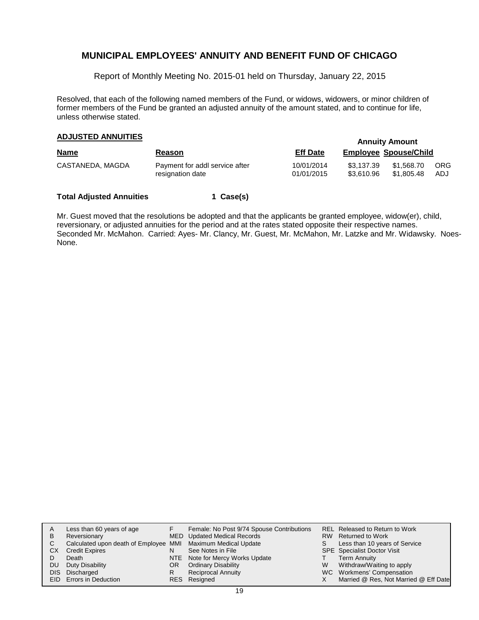Report of Monthly Meeting No. 2015-01 held on Thursday, January 22, 2015

Resolved, that each of the following named members of the Fund, or widows, widowers, or minor children of former members of the Fund be granted an adjusted annuity of the amount stated, and to continue for life, unless otherwise stated.

# **Annuity Amount ADJUSTED ANNUITIES**

| <b>Name</b>      | <b>Reason</b>                                      | <b>Eff Date</b>          | <b>Employee Spouse/Child</b> |                          |                   |
|------------------|----------------------------------------------------|--------------------------|------------------------------|--------------------------|-------------------|
| CASTANEDA, MAGDA | Payment for addl service after<br>resignation date | 10/01/2014<br>01/01/2015 | \$3.137.39<br>\$3.610.96     | \$1,568.70<br>\$1.805.48 | <b>ORG</b><br>ADJ |

#### **Total Adjusted Annuities 1 Case(s)**

Mr. Guest moved that the resolutions be adopted and that the applicants be granted employee, widow(er), child, reversionary, or adjusted annuities for the period and at the rates stated opposite their respective names. Seconded Mr. McMahon. Carried: Ayes- Mr. Clancy, Mr. Guest, Mr. McMahon, Mr. Latzke and Mr. Widawsky. Noes-None.

| A   | Less than 60 years of age                                    |    | Female: No Post 9/74 Spouse Contributions |    | REL Released to Return to Work        |
|-----|--------------------------------------------------------------|----|-------------------------------------------|----|---------------------------------------|
| B   | Reversionary                                                 |    | MED Updated Medical Records               |    | RW Returned to Work                   |
| C.  | Calculated upon death of Employee MMI Maximum Medical Update |    |                                           | S. | Less than 10 years of Service         |
| CХ  | <b>Credit Expires</b>                                        | N  | See Notes in File                         |    | <b>SPE</b> Specialist Doctor Visit    |
|     | Death                                                        |    | NTE Note for Mercy Works Update           |    | <b>Term Annuity</b>                   |
| DU. | Duty Disability                                              | OR | <b>Ordinary Disability</b>                | W  | Withdraw/Waiting to apply             |
|     | DIS Discharged                                               | R  | <b>Reciprocal Annuity</b>                 |    | WC Workmens' Compensation             |
|     | EID Errors in Deduction                                      |    | RES Resigned                              |    | Married @ Res, Not Married @ Eff Date |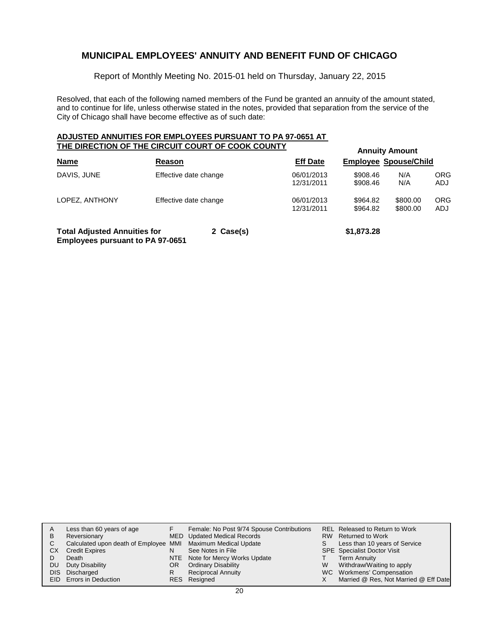Report of Monthly Meeting No. 2015-01 held on Thursday, January 22, 2015

Resolved, that each of the following named members of the Fund be granted an annuity of the amount stated, and to continue for life, unless otherwise stated in the notes, provided that separation from the service of the City of Chicago shall have become effective as of such date:

#### **ADJUSTED ANNUITIES FOR EMPLOYEES PURSUANT TO PA 97-0651 AT THE DIRECTION OF THE CIRCUIT COURT OF COOK COUNTY**

| THE DIRECTION OF THE CIRCUIT COURT OF COOK COUNTY                              |        |                       | <b>Annuity Amount</b>    |                              |                      |                   |  |  |
|--------------------------------------------------------------------------------|--------|-----------------------|--------------------------|------------------------------|----------------------|-------------------|--|--|
| <b>Name</b>                                                                    | Reason |                       | <b>Eff Date</b>          | <b>Employee Spouse/Child</b> |                      |                   |  |  |
| DAVIS, JUNE                                                                    |        | Effective date change | 06/01/2013<br>12/31/2011 | \$908.46<br>\$908.46         | N/A<br>N/A           | ORG<br>ADJ        |  |  |
| LOPEZ, ANTHONY                                                                 |        | Effective date change | 06/01/2013<br>12/31/2011 | \$964.82<br>\$964.82         | \$800.00<br>\$800.00 | <b>ORG</b><br>ADJ |  |  |
| <b>Total Adjusted Annuities for</b><br><b>Employees pursuant to PA 97-0651</b> |        | 2 Case(s)             |                          | \$1,873.28                   |                      |                   |  |  |

| A    | Less than 60 years of age                                    |     | Female: No Post 9/74 Spouse Contributions |    | REL Released to Return to Work        |
|------|--------------------------------------------------------------|-----|-------------------------------------------|----|---------------------------------------|
| В    | Reversionary                                                 |     | <b>MED</b> Updated Medical Records        |    | RW Returned to Work                   |
| C.   | Calculated upon death of Employee MMI Maximum Medical Update |     |                                           | S. | Less than 10 years of Service         |
| СX   | <b>Credit Expires</b>                                        |     | See Notes in File                         |    | <b>SPE</b> Specialist Doctor Visit    |
|      | Death                                                        |     | NTE Note for Mercy Works Update           |    | <b>Term Annuity</b>                   |
| DU   | Duty Disability                                              | OR. | <b>Ordinary Disability</b>                | W  | Withdraw/Waiting to apply             |
| DIS. | Discharged                                                   | R   | <b>Reciprocal Annuity</b>                 |    | WC Workmens' Compensation             |
|      | EID Errors in Deduction                                      |     | RES Resigned                              |    | Married @ Res, Not Married @ Eff Date |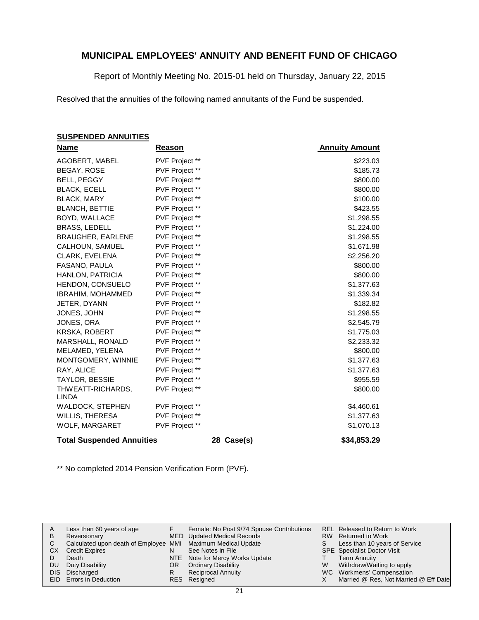Report of Monthly Meeting No. 2015-01 held on Thursday, January 22, 2015

Resolved that the annuities of the following named annuitants of the Fund be suspended.

### **SUSPENDED ANNUITIES**

| Name                              | Reason         |            | <b>Annuity Amount</b> |
|-----------------------------------|----------------|------------|-----------------------|
| AGOBERT, MABEL                    | PVF Project ** |            | \$223.03              |
| <b>BEGAY, ROSE</b>                | PVF Project ** |            | \$185.73              |
| <b>BELL, PEGGY</b>                | PVF Project ** |            | \$800.00              |
| <b>BLACK, ECELL</b>               | PVF Project ** |            | \$800.00              |
| <b>BLACK, MARY</b>                | PVF Project ** |            | \$100.00              |
| <b>BLANCH, BETTIE</b>             | PVF Project ** |            | \$423.55              |
| BOYD, WALLACE                     | PVF Project ** |            | \$1,298.55            |
| <b>BRASS, LEDELL</b>              | PVF Project ** |            | \$1,224.00            |
| <b>BRAUGHER, EARLENE</b>          | PVF Project ** |            | \$1,298.55            |
| CALHOUN, SAMUEL                   | PVF Project ** |            | \$1,671.98            |
| CLARK, EVELENA                    | PVF Project ** |            | \$2,256.20            |
| FASANO, PAULA                     | PVF Project ** |            | \$800.00              |
| HANLON, PATRICIA                  | PVF Project ** |            | \$800.00              |
| HENDON, CONSUELO                  | PVF Project ** |            | \$1,377.63            |
| <b>IBRAHIM, MOHAMMED</b>          | PVF Project ** |            | \$1,339.34            |
| JETER, DYANN                      | PVF Project ** |            | \$182.82              |
| JONES, JOHN                       | PVF Project ** |            | \$1,298.55            |
| JONES, ORA                        | PVF Project ** |            | \$2,545.79            |
| <b>KRSKA, ROBERT</b>              | PVF Project ** |            | \$1,775.03            |
| MARSHALL, RONALD                  | PVF Project ** |            | \$2,233.32            |
| MELAMED, YELENA                   | PVF Project ** |            | \$800.00              |
| MONTGOMERY, WINNIE                | PVF Project ** |            | \$1,377.63            |
| RAY, ALICE                        | PVF Project ** |            | \$1,377.63            |
| <b>TAYLOR, BESSIE</b>             | PVF Project ** |            | \$955.59              |
| THWEATT-RICHARDS,<br><b>LINDA</b> | PVF Project ** |            | \$800.00              |
| WALDOCK, STEPHEN                  | PVF Project ** |            | \$4,460.61            |
| WILLIS, THERESA                   | PVF Project ** |            | \$1,377.63            |
| WOLF, MARGARET                    | PVF Project ** |            | \$1,070.13            |
| <b>Total Suspended Annuities</b>  |                | 28 Case(s) | \$34,853.29           |

\*\* No completed 2014 Pension Verification Form (PVF).

|           | Less than 60 years of age                                    |     | Female: No Post 9/74 Spouse Contributions |   | REL Released to Return to Work        |
|-----------|--------------------------------------------------------------|-----|-------------------------------------------|---|---------------------------------------|
| B         | Reversionary                                                 |     | MED Updated Medical Records               |   | RW Returned to Work                   |
|           | Calculated upon death of Employee MMI Maximum Medical Update |     |                                           | S | Less than 10 years of Service         |
| СX        | <b>Credit Expires</b>                                        |     | See Notes in File                         |   | <b>SPE</b> Specialist Doctor Visit    |
|           | Death                                                        |     | NTE Note for Mercy Works Update           |   | Term Annuity                          |
| <b>DU</b> | Duty Disability                                              | OR. | <b>Ordinary Disability</b>                | W | Withdraw/Waiting to apply             |
|           | DIS Discharged                                               |     | <b>Reciprocal Annuity</b>                 |   | WC Workmens' Compensation             |
|           | EID Errors in Deduction                                      |     | RES Resigned                              |   | Married @ Res, Not Married @ Eff Date |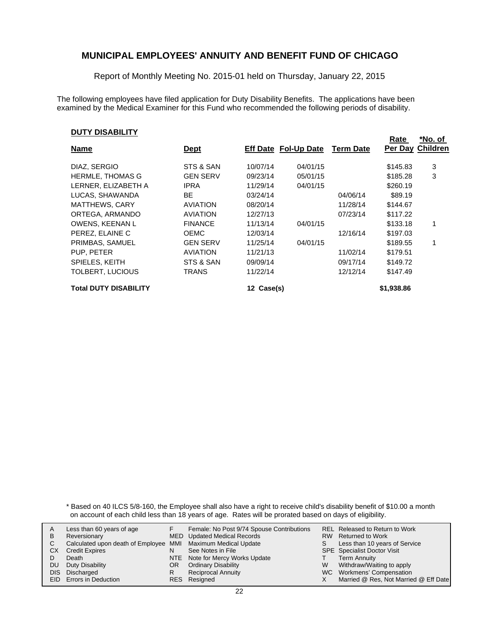Report of Monthly Meeting No. 2015-01 held on Thursday, January 22, 2015

The following employees have filed application for Duty Disability Benefits. The applications have been examined by the Medical Examiner for this Fund who recommended the following periods of disability.

#### **DUTY DISABILITY**

|                              |                 |            |                      |                  | Rate       | *No. of          |
|------------------------------|-----------------|------------|----------------------|------------------|------------|------------------|
| <b>Name</b>                  | <u>Dept</u>     |            | Eff Date Fol-Up Date | <b>Term Date</b> |            | Per Day Children |
| DIAZ, SERGIO                 | STS & SAN       | 10/07/14   | 04/01/15             |                  | \$145.83   | 3                |
| <b>HERMLE, THOMAS G</b>      | <b>GEN SERV</b> | 09/23/14   | 05/01/15             |                  | \$185.28   | 3                |
| LERNER, ELIZABETH A          | <b>IPRA</b>     | 11/29/14   | 04/01/15             |                  | \$260.19   |                  |
| LUCAS, SHAWANDA              | <b>BE</b>       | 03/24/14   |                      | 04/06/14         | \$89.19    |                  |
| <b>MATTHEWS, CARY</b>        | <b>AVIATION</b> | 08/20/14   |                      | 11/28/14         | \$144.67   |                  |
| ORTEGA, ARMANDO              | <b>AVIATION</b> | 12/27/13   |                      | 07/23/14         | \$117.22   |                  |
| OWENS, KEENAN L              | <b>FINANCE</b>  | 11/13/14   | 04/01/15             |                  | \$133.18   |                  |
| PEREZ. ELAINE C              | <b>OEMC</b>     | 12/03/14   |                      | 12/16/14         | \$197.03   |                  |
| PRIMBAS, SAMUEL              | <b>GEN SERV</b> | 11/25/14   | 04/01/15             |                  | \$189.55   |                  |
| PUP. PETER                   | <b>AVIATION</b> | 11/21/13   |                      | 11/02/14         | \$179.51   |                  |
| SPIELES, KEITH               | STS & SAN       | 09/09/14   |                      | 09/17/14         | \$149.72   |                  |
| TOLBERT, LUCIOUS             | TRANS           | 11/22/14   |                      | 12/12/14         | \$147.49   |                  |
| <b>Total DUTY DISABILITY</b> |                 | 12 Case(s) |                      |                  | \$1,938.86 |                  |

\* Based on 40 ILCS 5/8-160, the Employee shall also have a right to receive child's disability benefit of \$10.00 a month on account of each child less than 18 years of age. Rates will be prorated based on days of eligibility.

| A  | Less than 60 years of age                                    |     | Female: No Post 9/74 Spouse Contributions |    | REL Released to Return to Work        |
|----|--------------------------------------------------------------|-----|-------------------------------------------|----|---------------------------------------|
| В  | Reversionary                                                 |     | MED Updated Medical Records               |    | RW Returned to Work                   |
| C. | Calculated upon death of Employee MMI Maximum Medical Update |     |                                           | S. | Less than 10 years of Service         |
| СX | <b>Credit Expires</b>                                        | N   | See Notes in File                         |    | <b>SPE</b> Specialist Doctor Visit    |
|    | Death                                                        |     | NTE Note for Mercy Works Update           |    | <b>Term Annuity</b>                   |
| DU | Duty Disability                                              | OR. | <b>Ordinary Disability</b>                | W  | Withdraw/Waiting to apply             |
|    | DIS Discharged                                               | R   | <b>Reciprocal Annuity</b>                 |    | WC Workmens' Compensation             |
|    | EID Errors in Deduction                                      |     | RES Resigned                              |    | Married @ Res, Not Married @ Eff Date |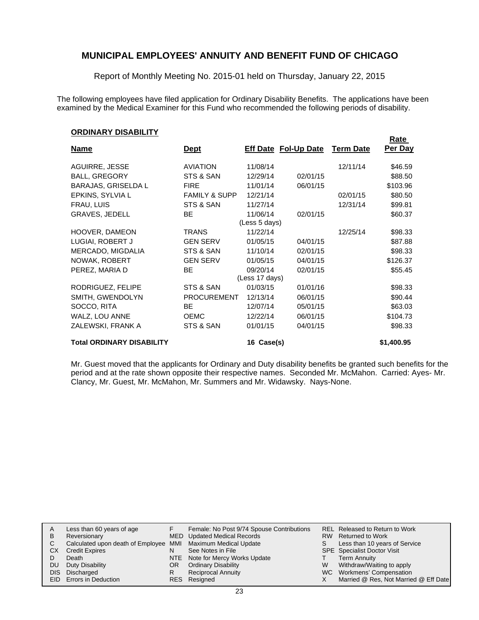Report of Monthly Meeting No. 2015-01 held on Thursday, January 22, 2015

The following employees have filed application for Ordinary Disability Benefits. The applications have been examined by the Medical Examiner for this Fund who recommended the following periods of disability.

**Rate** 

#### **ORDINARY DISABILITY**

| <b>Name</b>                      | <u>Dept</u>              |                | <b>Eff Date Fol-Up Date</b> | <b>Term Date</b> | nalt<br>Per Day |
|----------------------------------|--------------------------|----------------|-----------------------------|------------------|-----------------|
| AGUIRRE, JESSE                   | <b>AVIATION</b>          | 11/08/14       |                             | 12/11/14         | \$46.59         |
| <b>BALL, GREGORY</b>             | STS & SAN                | 12/29/14       | 02/01/15                    |                  | \$88.50         |
| <b>BARAJAS, GRISELDA L</b>       | <b>FIRE</b>              | 11/01/14       | 06/01/15                    |                  | \$103.96        |
| EPKINS, SYLVIA L                 | <b>FAMILY &amp; SUPP</b> | 12/21/14       |                             | 02/01/15         | \$80.50         |
| FRAU, LUIS                       | STS & SAN                | 11/27/14       |                             | 12/31/14         | \$99.81         |
| <b>GRAVES, JEDELL</b>            | <b>BE</b>                | 11/06/14       | 02/01/15                    |                  | \$60.37         |
|                                  |                          | (Less 5 days)  |                             |                  |                 |
| HOOVER, DAMEON                   | <b>TRANS</b>             | 11/22/14       |                             | 12/25/14         | \$98.33         |
| LUGIAI, ROBERT J                 | <b>GEN SERV</b>          | 01/05/15       | 04/01/15                    |                  | \$87.88         |
| MERCADO, MIGDALIA                | STS & SAN                | 11/10/14       | 02/01/15                    |                  | \$98.33         |
| NOWAK, ROBERT                    | <b>GEN SERV</b>          | 01/05/15       | 04/01/15                    |                  | \$126.37        |
| PEREZ, MARIA D                   | BE.                      | 09/20/14       | 02/01/15                    |                  | \$55.45         |
|                                  |                          | (Less 17 days) |                             |                  |                 |
| RODRIGUEZ, FELIPE                | STS & SAN                | 01/03/15       | 01/01/16                    |                  | \$98.33         |
| SMITH, GWENDOLYN                 | <b>PROCUREMENT</b>       | 12/13/14       | 06/01/15                    |                  | \$90.44         |
| SOCCO, RITA                      | BE.                      | 12/07/14       | 05/01/15                    |                  | \$63.03         |
| WALZ, LOU ANNE                   | <b>OEMC</b>              | 12/22/14       | 06/01/15                    |                  | \$104.73        |
| ZALEWSKI, FRANK A                | STS & SAN                | 01/01/15       | 04/01/15                    |                  | \$98.33         |
| <b>Total ORDINARY DISABILITY</b> |                          | 16 Case(s)     |                             |                  | \$1,400.95      |

Mr. Guest moved that the applicants for Ordinary and Duty disability benefits be granted such benefits for the period and at the rate shown opposite their respective names. Seconded Mr. McMahon. Carried: Ayes- Mr. Clancy, Mr. Guest, Mr. McMahon, Mr. Summers and Mr. Widawsky. Nays-None.

| A   | Less than 60 years of age                                    |     | Female: No Post 9/74 Spouse Contributions |    | REL Released to Return to Work        |
|-----|--------------------------------------------------------------|-----|-------------------------------------------|----|---------------------------------------|
| В   | Reversionary                                                 |     | MED Updated Medical Records               |    | RW Returned to Work                   |
|     | Calculated upon death of Employee MMI Maximum Medical Update |     |                                           | S. | Less than 10 years of Service         |
| CХ  | <b>Credit Expires</b>                                        | N   | See Notes in File                         |    | <b>SPE</b> Specialist Doctor Visit    |
|     | Death                                                        |     | NTE Note for Mercy Works Update           |    | <b>Term Annuity</b>                   |
| DU. | Duty Disability                                              | OR. | <b>Ordinary Disability</b>                | W  | Withdraw/Waiting to apply             |
|     | DIS Discharged                                               |     | <b>Reciprocal Annuity</b>                 |    | WC Workmens' Compensation             |
|     | <b>EID</b> Errors in Deduction                               |     | RES Resigned                              |    | Married @ Res, Not Married @ Eff Date |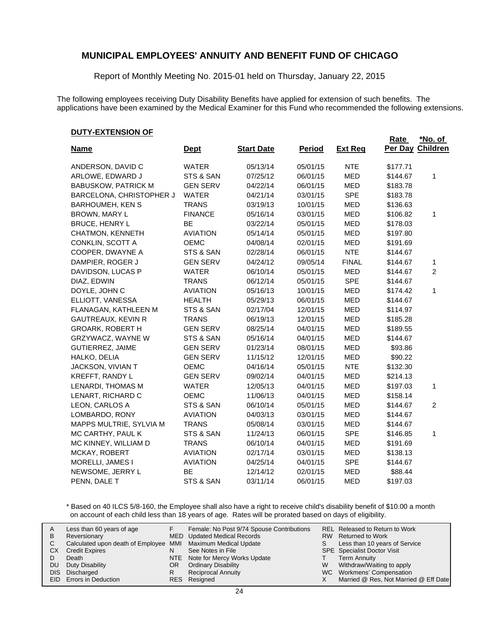Report of Monthly Meeting No. 2015-01 held on Thursday, January 22, 2015

The following employees receiving Duty Disability Benefits have applied for extension of such benefits. The applications have been examined by the Medical Examiner for this Fund who recommended the following extensions.

**Rate** 

#### **DUTY-EXTENSION OF**

|                            |                 |                   |               |                | Rate     | *No. of         |
|----------------------------|-----------------|-------------------|---------------|----------------|----------|-----------------|
| <b>Name</b>                | <b>Dept</b>     | <b>Start Date</b> | <b>Period</b> | <b>Ext Req</b> | Per Day  | <b>Children</b> |
| ANDERSON, DAVID C          | <b>WATER</b>    | 05/13/14          | 05/01/15      | <b>NTE</b>     | \$177.71 |                 |
| ARLOWE, EDWARD J           | STS & SAN       | 07/25/12          | 06/01/15      | <b>MED</b>     | \$144.67 | 1               |
| <b>BABUSKOW, PATRICK M</b> | <b>GEN SERV</b> | 04/22/14          | 06/01/15      | <b>MED</b>     | \$183.78 |                 |
| BARCELONA, CHRISTOPHER J   | <b>WATER</b>    | 04/21/14          | 03/01/15      | <b>SPE</b>     | \$183.78 |                 |
| <b>BARHOUMEH, KEN S</b>    | <b>TRANS</b>    | 03/19/13          | 10/01/15      | <b>MED</b>     | \$136.63 |                 |
| BROWN, MARY L              | <b>FINANCE</b>  | 05/16/14          | 03/01/15      | <b>MED</b>     | \$106.82 | 1               |
| <b>BRUCE, HENRY L</b>      | BE              | 03/22/14          | 05/01/15      | <b>MED</b>     | \$178.03 |                 |
| CHATMON, KENNETH           | <b>AVIATION</b> | 05/14/14          | 05/01/15      | <b>MED</b>     | \$197.80 |                 |
| CONKLIN, SCOTT A           | <b>OEMC</b>     | 04/08/14          | 02/01/15      | <b>MED</b>     | \$191.69 |                 |
| COOPER, DWAYNE A           | STS & SAN       | 02/28/14          | 06/01/15      | <b>NTE</b>     | \$144.67 |                 |
| DAMPIER, ROGER J           | <b>GEN SERV</b> | 04/24/12          | 09/05/14      | <b>FINAL</b>   | \$144.67 | 1               |
| DAVIDSON, LUCAS P          | <b>WATER</b>    | 06/10/14          | 05/01/15      | <b>MED</b>     | \$144.67 | 2               |
| DIAZ, EDWIN                | <b>TRANS</b>    | 06/12/14          | 05/01/15      | <b>SPE</b>     | \$144.67 |                 |
| DOYLE, JOHN C              | <b>AVIATION</b> | 05/16/13          | 10/01/15      | <b>MED</b>     | \$174.42 | 1               |
| ELLIOTT, VANESSA           | <b>HEALTH</b>   | 05/29/13          | 06/01/15      | <b>MED</b>     | \$144.67 |                 |
| FLANAGAN, KATHLEEN M       | STS & SAN       | 02/17/04          | 12/01/15      | <b>MED</b>     | \$114.97 |                 |
| <b>GAUTREAUX, KEVIN R</b>  | <b>TRANS</b>    | 06/19/13          | 12/01/15      | <b>MED</b>     | \$185.28 |                 |
| <b>GROARK, ROBERT H</b>    | <b>GEN SERV</b> | 08/25/14          | 04/01/15      | <b>MED</b>     | \$189.55 |                 |
| GRZYWACZ, WAYNE W          | STS & SAN       | 05/16/14          | 04/01/15      | <b>MED</b>     | \$144.67 |                 |
| <b>GUTIERREZ, JAIME</b>    | <b>GEN SERV</b> | 01/23/14          | 08/01/15      | <b>MED</b>     | \$93.86  |                 |
| HALKO, DELIA               | <b>GEN SERV</b> | 11/15/12          | 12/01/15      | <b>MED</b>     | \$90.22  |                 |
| JACKSON, VIVIAN T          | <b>OEMC</b>     | 04/16/14          | 05/01/15      | <b>NTE</b>     | \$132.30 |                 |
| KREFFT, RANDY L            | <b>GEN SERV</b> | 09/02/14          | 04/01/15      | <b>MED</b>     | \$214.13 |                 |
| LENARDI, THOMAS M          | <b>WATER</b>    | 12/05/13          | 04/01/15      | <b>MED</b>     | \$197.03 | 1               |
| LENART, RICHARD C          | <b>OEMC</b>     | 11/06/13          | 04/01/15      | <b>MED</b>     | \$158.14 |                 |
| LEON, CARLOS A             | STS & SAN       | 06/10/14          | 05/01/15      | <b>MED</b>     | \$144.67 | $\overline{c}$  |
| LOMBARDO, RONY             | <b>AVIATION</b> | 04/03/13          | 03/01/15      | <b>MED</b>     | \$144.67 |                 |
| MAPPS MULTRIE, SYLVIA M    | <b>TRANS</b>    | 05/08/14          | 03/01/15      | <b>MED</b>     | \$144.67 |                 |
| MC CARTHY, PAUL K          | STS & SAN       | 11/24/13          | 06/01/15      | <b>SPE</b>     | \$146.85 | $\mathbf{1}$    |
| MC KINNEY, WILLIAM D       | <b>TRANS</b>    | 06/10/14          | 04/01/15      | <b>MED</b>     | \$191.69 |                 |
| MCKAY, ROBERT              | <b>AVIATION</b> | 02/17/14          | 03/01/15      | <b>MED</b>     | \$138.13 |                 |
| MORELLI, JAMES I           | <b>AVIATION</b> | 04/25/14          | 04/01/15      | <b>SPE</b>     | \$144.67 |                 |
| NEWSOME, JERRY L           | <b>BE</b>       | 12/14/12          | 02/01/15      | <b>MED</b>     | \$88.44  |                 |
| PENN, DALE T               | STS & SAN       | 03/11/14          | 06/01/15      | <b>MED</b>     | \$197.03 |                 |

\* Based on 40 ILCS 5/8-160, the Employee shall also have a right to receive child's disability benefit of \$10.00 a month on account of each child less than 18 years of age. Rates will be prorated based on days of eligibility.

| A<br>в<br>СX | Less than 60 years of age<br>Reversionary<br>Calculated upon death of Employee MMI Maximum Medical Update<br><b>Credit Expires</b><br>Death | N  | Female: No Post 9/74 Spouse Contributions<br>MED Updated Medical Records<br>See Notes in File<br>NTE Note for Mercy Works Update | S. | REL Released to Return to Work<br>RW Returned to Work<br>Less than 10 years of Service<br><b>SPE</b> Specialist Doctor Visit<br><b>Term Annuity</b> |
|--------------|---------------------------------------------------------------------------------------------------------------------------------------------|----|----------------------------------------------------------------------------------------------------------------------------------|----|-----------------------------------------------------------------------------------------------------------------------------------------------------|
| DU           | Duty Disability                                                                                                                             | OR | <b>Ordinary Disability</b>                                                                                                       | W  | Withdraw/Waiting to apply                                                                                                                           |
|              |                                                                                                                                             |    |                                                                                                                                  |    |                                                                                                                                                     |
| DIS.         | Discharged                                                                                                                                  |    | <b>Reciprocal Annuity</b>                                                                                                        |    | WC Workmens' Compensation                                                                                                                           |
|              | EID Errors in Deduction                                                                                                                     |    | RES Resigned                                                                                                                     |    | Married @ Res, Not Married @ Eff Date                                                                                                               |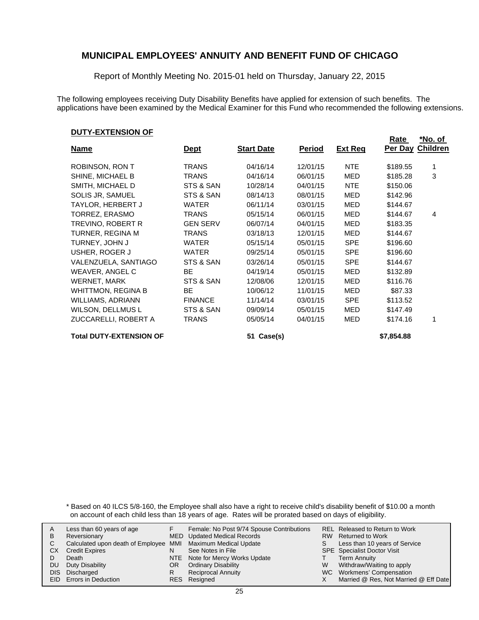Report of Monthly Meeting No. 2015-01 held on Thursday, January 22, 2015

The following employees receiving Duty Disability Benefits have applied for extension of such benefits. The applications have been examined by the Medical Examiner for this Fund who recommended the following extensions.

#### **DUTY-EXTENSION OF**

| <u>Name</u>                    | <u>Dept</u>     | <b>Start Date</b> | <u>Period</u> | <b>Ext Req</b> | Rate       | *No. of<br>Per Day Children |
|--------------------------------|-----------------|-------------------|---------------|----------------|------------|-----------------------------|
|                                |                 |                   |               |                |            |                             |
| ROBINSON, RON T                | <b>TRANS</b>    | 04/16/14          | 12/01/15      | <b>NTE</b>     | \$189.55   | 1                           |
| SHINE, MICHAEL B               | <b>TRANS</b>    | 04/16/14          | 06/01/15      | MED            | \$185.28   | 3                           |
| SMITH, MICHAEL D               | STS & SAN       | 10/28/14          | 04/01/15      | NTE            | \$150.06   |                             |
| SOLIS JR, SAMUEL               | STS & SAN       | 08/14/13          | 08/01/15      | <b>MED</b>     | \$142.96   |                             |
| TAYLOR, HERBERT J              | <b>WATER</b>    | 06/11/14          | 03/01/15      | MED            | \$144.67   |                             |
| TORREZ, ERASMO                 | TRANS           | 05/15/14          | 06/01/15      | MED            | \$144.67   | 4                           |
| TREVINO, ROBERT R              | <b>GEN SERV</b> | 06/07/14          | 04/01/15      | MED            | \$183.35   |                             |
| TURNER, REGINA M               | <b>TRANS</b>    | 03/18/13          | 12/01/15      | MED            | \$144.67   |                             |
| TURNEY, JOHN J                 | <b>WATER</b>    | 05/15/14          | 05/01/15      | <b>SPE</b>     | \$196.60   |                             |
| USHER, ROGER J                 | <b>WATER</b>    | 09/25/14          | 05/01/15      | <b>SPE</b>     | \$196.60   |                             |
| VALENZUELA, SANTIAGO           | STS & SAN       | 03/26/14          | 05/01/15      | <b>SPE</b>     | \$144.67   |                             |
| <b>WEAVER, ANGEL C</b>         | <b>BE</b>       | 04/19/14          | 05/01/15      | MED            | \$132.89   |                             |
| WERNET, MARK                   | STS & SAN       | 12/08/06          | 12/01/15      | MED            | \$116.76   |                             |
| <b>WHITTMON, REGINA B</b>      | <b>BE</b>       | 10/06/12          | 11/01/15      | MED            | \$87.33    |                             |
| <b>WILLIAMS, ADRIANN</b>       | <b>FINANCE</b>  | 11/14/14          | 03/01/15      | <b>SPE</b>     | \$113.52   |                             |
| <b>WILSON, DELLMUS L</b>       | STS & SAN       | 09/09/14          | 05/01/15      | MED            | \$147.49   |                             |
| ZUCCARELLI, ROBERT A           | TRANS           | 05/05/14          | 04/01/15      | MED            | \$174.16   |                             |
| <b>Total DUTY-EXTENSION OF</b> |                 | Case(s)<br>51     |               |                | \$7,854.88 |                             |

\* Based on 40 ILCS 5/8-160, the Employee shall also have a right to receive child's disability benefit of \$10.00 a month on account of each child less than 18 years of age. Rates will be prorated based on days of eligibility.

|    | Less than 60 years of age                                    |    | Female: No Post 9/74 Spouse Contributions |    | REL Released to Return to Work        |
|----|--------------------------------------------------------------|----|-------------------------------------------|----|---------------------------------------|
|    |                                                              |    |                                           |    |                                       |
| В  | Reversionary                                                 |    | MED Updated Medical Records               |    | RW Returned to Work                   |
|    | Calculated upon death of Employee MMI Maximum Medical Update |    |                                           | S. | Less than 10 years of Service         |
| СX | <b>Credit Expires</b>                                        | N  | See Notes in File                         |    | <b>SPE</b> Specialist Doctor Visit    |
|    | Death                                                        |    | NTE Note for Mercy Works Update           |    | <b>Term Annuity</b>                   |
| DU | Duty Disability                                              | OR | <b>Ordinary Disability</b>                | W  | Withdraw/Waiting to apply             |
|    | DIS Discharged                                               |    | <b>Reciprocal Annuity</b>                 |    | WC Workmens' Compensation             |
|    | EID Errors in Deduction                                      |    | RES Resigned                              |    | Married @ Res, Not Married @ Eff Date |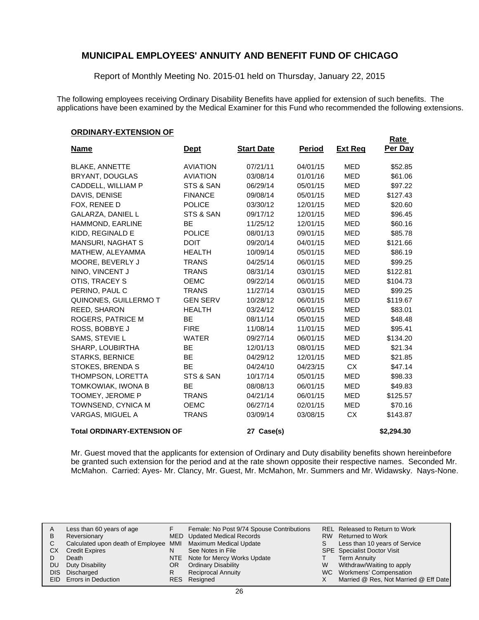Report of Monthly Meeting No. 2015-01 held on Thursday, January 22, 2015

The following employees receiving Ordinary Disability Benefits have applied for extension of such benefits. The applications have been examined by the Medical Examiner for this Fund who recommended the following extensions.

#### **ORDINARY-EXTENSION OF**

|                                    |                 |                   |               |                | <b>Rate</b> |
|------------------------------------|-----------------|-------------------|---------------|----------------|-------------|
| <u>Name</u>                        | <b>Dept</b>     | <b>Start Date</b> | <b>Period</b> | <u>Ext Req</u> | Per Day     |
| <b>BLAKE, ANNETTE</b>              | <b>AVIATION</b> | 07/21/11          | 04/01/15      | <b>MED</b>     | \$52.85     |
| <b>BRYANT, DOUGLAS</b>             | <b>AVIATION</b> | 03/08/14          | 01/01/16      | <b>MED</b>     | \$61.06     |
| CADDELL, WILLIAM P                 | STS & SAN       | 06/29/14          | 05/01/15      | <b>MED</b>     | \$97.22     |
| DAVIS, DENISE                      | <b>FINANCE</b>  | 09/08/14          | 05/01/15      | <b>MED</b>     | \$127.43    |
| FOX, RENEE D                       | <b>POLICE</b>   | 03/30/12          | 12/01/15      | <b>MED</b>     | \$20.60     |
| <b>GALARZA, DANIEL L</b>           | STS & SAN       | 09/17/12          | 12/01/15      | <b>MED</b>     | \$96.45     |
| HAMMOND, EARLINE                   | BE              | 11/25/12          | 12/01/15      | <b>MED</b>     | \$60.16     |
| KIDD, REGINALD E                   | <b>POLICE</b>   | 08/01/13          | 09/01/15      | <b>MED</b>     | \$85.78     |
| <b>MANSURI, NAGHAT S</b>           | <b>DOIT</b>     | 09/20/14          | 04/01/15      | MED            | \$121.66    |
| MATHEW, ALEYAMMA                   | <b>HEALTH</b>   | 10/09/14          | 05/01/15      | <b>MED</b>     | \$86.19     |
| MOORE, BEVERLY J                   | <b>TRANS</b>    | 04/25/14          | 06/01/15      | <b>MED</b>     | \$99.25     |
| NINO, VINCENT J                    | <b>TRANS</b>    | 08/31/14          | 03/01/15      | <b>MED</b>     | \$122.81    |
| OTIS, TRACEY S                     | <b>OEMC</b>     | 09/22/14          | 06/01/15      | <b>MED</b>     | \$104.73    |
| PERINO, PAUL C                     | <b>TRANS</b>    | 11/27/14          | 03/01/15      | <b>MED</b>     | \$99.25     |
| QUINONES, GUILLERMO T              | <b>GEN SERV</b> | 10/28/12          | 06/01/15      | <b>MED</b>     | \$119.67    |
| REED, SHARON                       | <b>HEALTH</b>   | 03/24/12          | 06/01/15      | <b>MED</b>     | \$83.01     |
| ROGERS, PATRICE M                  | <b>BE</b>       | 08/11/14          | 05/01/15      | <b>MED</b>     | \$48.48     |
| ROSS, BOBBYE J                     | <b>FIRE</b>     | 11/08/14          | 11/01/15      | <b>MED</b>     | \$95.41     |
| SAMS, STEVIE L                     | <b>WATER</b>    | 09/27/14          | 06/01/15      | <b>MED</b>     | \$134.20    |
| SHARP, LOUBIRTHA                   | <b>BE</b>       | 12/01/13          | 08/01/15      | <b>MED</b>     | \$21.34     |
| <b>STARKS, BERNICE</b>             | <b>BE</b>       | 04/29/12          | 12/01/15      | <b>MED</b>     | \$21.85     |
| STOKES, BRENDA S                   | <b>BE</b>       | 04/24/10          | 04/23/15      | <b>CX</b>      | \$47.14     |
| THOMPSON, LORETTA                  | STS & SAN       | 10/17/14          | 05/01/15      | <b>MED</b>     | \$98.33     |
| TOMKOWIAK, IWONA B                 | <b>BE</b>       | 08/08/13          | 06/01/15      | <b>MED</b>     | \$49.83     |
| TOOMEY, JEROME P                   | <b>TRANS</b>    | 04/21/14          | 06/01/15      | <b>MED</b>     | \$125.57    |
| TOWNSEND, CYNICA M                 | <b>OEMC</b>     | 06/27/14          | 02/01/15      | <b>MED</b>     | \$70.16     |
| VARGAS, MIGUEL A                   | <b>TRANS</b>    | 03/09/14          | 03/08/15      | <b>CX</b>      | \$143.87    |
| <b>Total ORDINARY-EXTENSION OF</b> |                 | 27 Case(s)        |               |                | \$2,294.30  |

Mr. Guest moved that the applicants for extension of Ordinary and Duty disability benefits shown hereinbefore be granted such extension for the period and at the rate shown opposite their respective names. Seconded Mr. McMahon. Carried: Ayes- Mr. Clancy, Mr. Guest, Mr. McMahon, Mr. Summers and Mr. Widawsky. Nays-None.

| A<br>В | Less than 60 years of age<br>Reversionary                    |     | Female: No Post 9/74 Spouse Contributions<br>MED Updated Medical Records |   | REL Released to Return to Work<br>RW Returned to Work |
|--------|--------------------------------------------------------------|-----|--------------------------------------------------------------------------|---|-------------------------------------------------------|
|        | Calculated upon death of Employee MMI Maximum Medical Update |     |                                                                          |   | Less than 10 years of Service                         |
| СX     | <b>Credit Expires</b>                                        |     | See Notes in File                                                        |   | <b>SPE</b> Specialist Doctor Visit                    |
|        | Death                                                        |     | NTE Note for Mercy Works Update                                          |   | <b>Term Annuity</b>                                   |
| DU     | Duty Disability                                              | OR. | <b>Ordinary Disability</b>                                               | W | Withdraw/Waiting to apply                             |
|        | DIS Discharged                                               |     | <b>Reciprocal Annuity</b>                                                |   | WC Workmens' Compensation                             |
|        | EID Errors in Deduction                                      |     | RES Resigned                                                             |   | Married @ Res, Not Married @ Eff Date                 |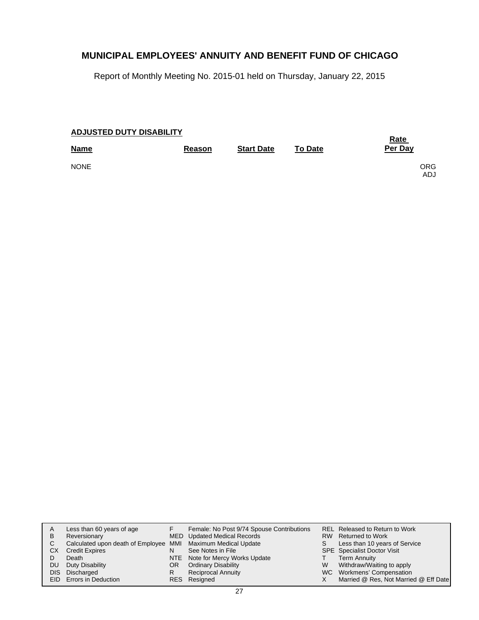Report of Monthly Meeting No. 2015-01 held on Thursday, January 22, 2015

| <b>ADJUSTED DUTY DISABILITY</b> | <b>Rate</b> |                   |                |                   |
|---------------------------------|-------------|-------------------|----------------|-------------------|
| <b>Name</b>                     | Reason      | <b>Start Date</b> | <b>To Date</b> | Per Day           |
| <b>NONE</b>                     |             |                   |                | <b>ORG</b><br>ADJ |

|     | Less than 60 years of age                                    |     | Female: No Post 9/74 Spouse Contributions |    | REL Released to Return to Work        |
|-----|--------------------------------------------------------------|-----|-------------------------------------------|----|---------------------------------------|
| B   | Reversionary                                                 |     | MED Updated Medical Records               |    | RW Returned to Work                   |
|     | Calculated upon death of Employee MMI Maximum Medical Update |     |                                           | S. | Less than 10 years of Service         |
| СX  | <b>Credit Expires</b>                                        | N   | See Notes in File                         |    | SPE Specialist Doctor Visit           |
|     | Death                                                        |     | NTE Note for Mercy Works Update           |    | <b>Term Annuity</b>                   |
| DU. | Duty Disability                                              | OR. | <b>Ordinary Disability</b>                | W  | Withdraw/Waiting to apply             |
|     | DIS Discharged                                               | R   | <b>Reciprocal Annuity</b>                 |    | WC Workmens' Compensation             |
|     | EID Errors in Deduction                                      |     | RES Resigned                              |    | Married @ Res, Not Married @ Eff Date |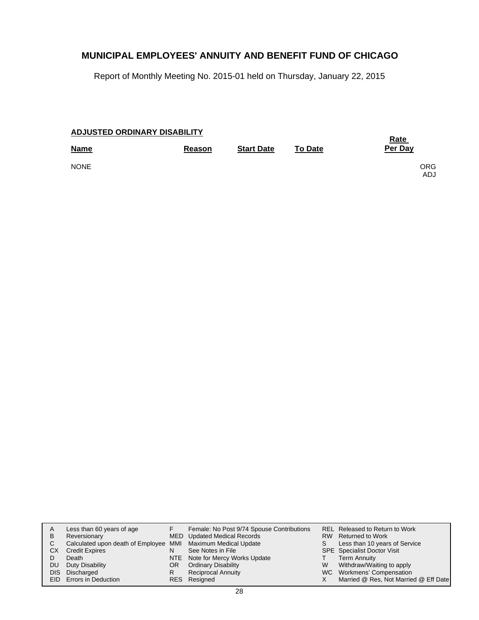Report of Monthly Meeting No. 2015-01 held on Thursday, January 22, 2015

| ADJUSTED ORDINARY DISABILITY |        | <b>Rate</b>       |                |                   |
|------------------------------|--------|-------------------|----------------|-------------------|
| <b>Name</b>                  | Reason | <b>Start Date</b> | <b>To Date</b> | Per Day           |
| <b>NONE</b>                  |        |                   |                | <b>ORG</b><br>ADJ |

| A<br>B<br>C.<br>СX<br>DU. | Less than 60 years of age<br>Reversionary<br>Calculated upon death of Employee MMI Maximum Medical Update<br><b>Credit Expires</b><br>Death<br>Duty Disability<br>DIS Discharged<br>EID Errors in Deduction | N<br>OR<br>R | Female: No Post 9/74 Spouse Contributions<br>MED Updated Medical Records<br>See Notes in File<br>NTE Note for Mercy Works Update<br><b>Ordinary Disability</b><br><b>Reciprocal Annuity</b><br>RES Resigned | W | REL Released to Return to Work<br>RW Returned to Work<br>Less than 10 years of Service<br><b>SPE</b> Specialist Doctor Visit<br><b>Term Annuity</b><br>Withdraw/Waiting to apply<br>WC Workmens' Compensation<br>Married @ Res, Not Married @ Eff Date |
|---------------------------|-------------------------------------------------------------------------------------------------------------------------------------------------------------------------------------------------------------|--------------|-------------------------------------------------------------------------------------------------------------------------------------------------------------------------------------------------------------|---|--------------------------------------------------------------------------------------------------------------------------------------------------------------------------------------------------------------------------------------------------------|
|---------------------------|-------------------------------------------------------------------------------------------------------------------------------------------------------------------------------------------------------------|--------------|-------------------------------------------------------------------------------------------------------------------------------------------------------------------------------------------------------------|---|--------------------------------------------------------------------------------------------------------------------------------------------------------------------------------------------------------------------------------------------------------|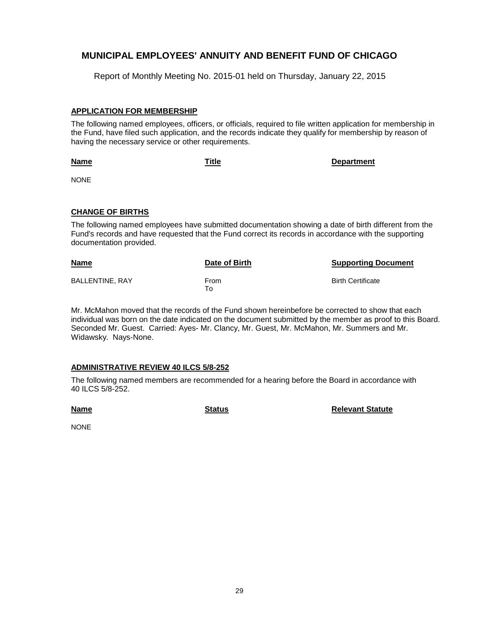Report of Monthly Meeting No. 2015-01 held on Thursday, January 22, 2015

### **APPLICATION FOR MEMBERSHIP**

The following named employees, officers, or officials, required to file written application for membership in the Fund, have filed such application, and the records indicate they qualify for membership by reason of having the necessary service or other requirements.

**Name Title Department**

NONE

### **CHANGE OF BIRTHS**

The following named employees have submitted documentation showing a date of birth different from the Fund's records and have requested that the Fund correct its records in accordance with the supporting documentation provided.

| <b>Name</b>     | Date of Birth | <b>Supporting Document</b> |
|-----------------|---------------|----------------------------|
| BALLENTINE, RAY | From<br>⊤o    | <b>Birth Certificate</b>   |

Mr. McMahon moved that the records of the Fund shown hereinbefore be corrected to show that each individual was born on the date indicated on the document submitted by the member as proof to this Board. Seconded Mr. Guest. Carried: Ayes- Mr. Clancy, Mr. Guest, Mr. McMahon, Mr. Summers and Mr. Widawsky. Nays-None.

### **ADMINISTRATIVE REVIEW 40 ILCS 5/8-252**

The following named members are recommended for a hearing before the Board in accordance with 40 ILCS 5/8-252.

**Name**

**Status Relevant Statute**

NONE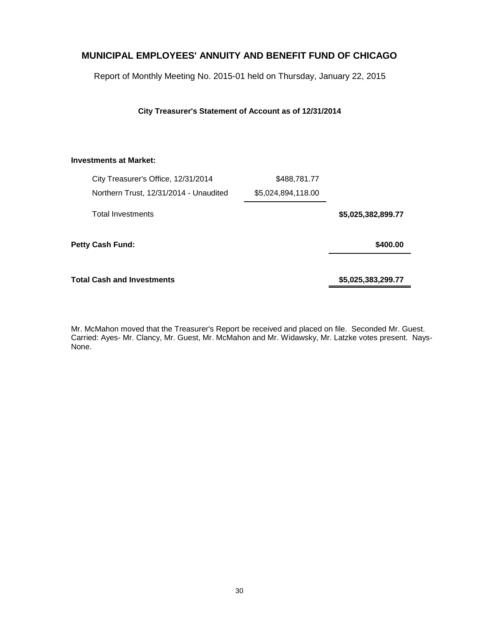Report of Monthly Meeting No. 2015-01 held on Thursday, January 22, 2015

**City Treasurer's Statement of Account as of 12/31/2014**

### **Investments at Market:**

|                    | \$488,781.77       | City Treasurer's Office, 12/31/2014    |
|--------------------|--------------------|----------------------------------------|
|                    | \$5,024,894,118.00 | Northern Trust, 12/31/2014 - Unaudited |
| \$5,025,382,899.77 |                    | <b>Total Investments</b>               |
| \$400.00           |                    | <b>Petty Cash Fund:</b>                |
| \$5,025,383,299.77 |                    | <b>Total Cash and Investments</b>      |

Mr. McMahon moved that the Treasurer's Report be received and placed on file. Seconded Mr. Guest. Carried: Ayes- Mr. Clancy, Mr. Guest, Mr. McMahon and Mr. Widawsky, Mr. Latzke votes present. Nays-None.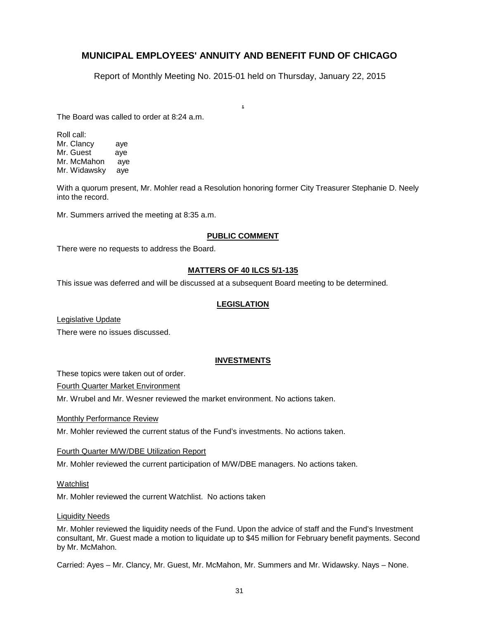Report of Monthly Meeting No. 2015-01 held on Thursday, January 22, 2015

**.**

The Board was called to order at 8:24 a.m.

Roll call: Mr. Clancy aye Mr. Guest aye Mr. McMahon aye Mr. Widawsky aye

With a quorum present, Mr. Mohler read a Resolution honoring former City Treasurer Stephanie D. Neely into the record.

Mr. Summers arrived the meeting at 8:35 a.m.

#### **PUBLIC COMMENT**

There were no requests to address the Board.

#### **MATTERS OF 40 ILCS 5/1-135**

This issue was deferred and will be discussed at a subsequent Board meeting to be determined.

#### **LEGISLATION**

Legislative Update

There were no issues discussed.

#### **INVESTMENTS**

These topics were taken out of order.

Fourth Quarter Market Environment

Mr. Wrubel and Mr. Wesner reviewed the market environment. No actions taken.

Monthly Performance Review

Mr. Mohler reviewed the current status of the Fund's investments. No actions taken.

Fourth Quarter M/W/DBE Utilization Report

Mr. Mohler reviewed the current participation of M/W/DBE managers. No actions taken.

#### Watchlist

Mr. Mohler reviewed the current Watchlist. No actions taken

#### Liquidity Needs

Mr. Mohler reviewed the liquidity needs of the Fund. Upon the advice of staff and the Fund's Investment consultant, Mr. Guest made a motion to liquidate up to \$45 million for February benefit payments. Second by Mr. McMahon.

Carried: Ayes – Mr. Clancy, Mr. Guest, Mr. McMahon, Mr. Summers and Mr. Widawsky. Nays – None.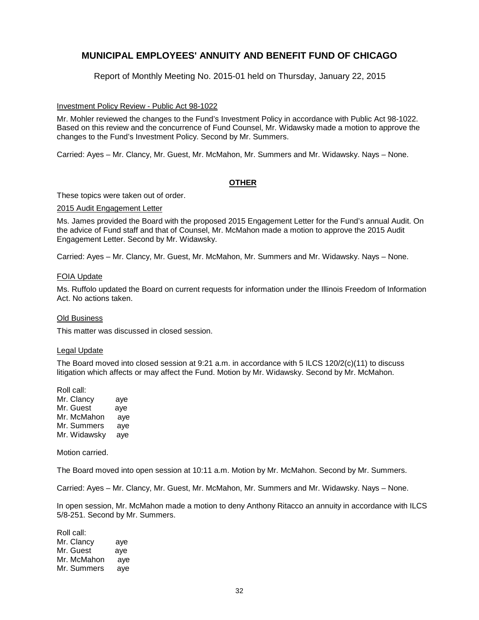Report of Monthly Meeting No. 2015-01 held on Thursday, January 22, 2015

#### Investment Policy Review - Public Act 98-1022

Mr. Mohler reviewed the changes to the Fund's Investment Policy in accordance with Public Act 98-1022. Based on this review and the concurrence of Fund Counsel, Mr. Widawsky made a motion to approve the changes to the Fund's Investment Policy. Second by Mr. Summers.

Carried: Ayes – Mr. Clancy, Mr. Guest, Mr. McMahon, Mr. Summers and Mr. Widawsky. Nays – None.

#### **OTHER**

These topics were taken out of order.

#### 2015 Audit Engagement Letter

Ms. James provided the Board with the proposed 2015 Engagement Letter for the Fund's annual Audit. On the advice of Fund staff and that of Counsel, Mr. McMahon made a motion to approve the 2015 Audit Engagement Letter. Second by Mr. Widawsky.

Carried: Ayes – Mr. Clancy, Mr. Guest, Mr. McMahon, Mr. Summers and Mr. Widawsky. Nays – None.

#### FOIA Update

Ms. Ruffolo updated the Board on current requests for information under the Illinois Freedom of Information Act. No actions taken.

#### Old Business

This matter was discussed in closed session.

### Legal Update

The Board moved into closed session at 9:21 a.m. in accordance with 5 ILCS 120/2(c)(11) to discuss litigation which affects or may affect the Fund. Motion by Mr. Widawsky. Second by Mr. McMahon.

Roll call:

| Mr. Clancy   | aye |
|--------------|-----|
| Mr. Guest    | aye |
| Mr. McMahon  | ave |
| Mr. Summers  | aye |
| Mr. Widawsky | aye |

Motion carried.

The Board moved into open session at 10:11 a.m. Motion by Mr. McMahon. Second by Mr. Summers.

Carried: Ayes – Mr. Clancy, Mr. Guest, Mr. McMahon, Mr. Summers and Mr. Widawsky. Nays – None.

In open session, Mr. McMahon made a motion to deny Anthony Ritacco an annuity in accordance with ILCS 5/8-251. Second by Mr. Summers.

Roll call: Mr. Clancy aye Mr. Guest aye Mr. McMahon aye Mr. Summers aye